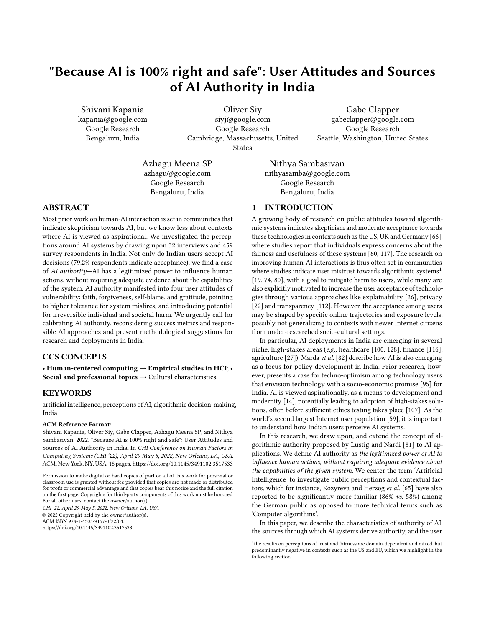# "Because AI is 100% right and safe": User Attitudes and Sources of AI Authority in India

Shivani Kapania kapania@google.com Google Research Bengaluru, India

Oliver Siy siyj@google.com Google Research Cambridge, Massachusetts, United States

Gabe Clapper gabeclapper@google.com Google Research Seattle, Washington, United States

Azhagu Meena SP azhagu@google.com Google Research Bengaluru, India

Nithya Sambasivan nithyasamba@google.com Google Research Bengaluru, India

# ABSTRACT

Most prior work on human-AI interaction is set in communities that indicate skepticism towards AI, but we know less about contexts where AI is viewed as aspirational. We investigated the perceptions around AI systems by drawing upon 32 interviews and 459 survey respondents in India. Not only do Indian users accept AI decisions (79.2% respondents indicate acceptance), we find a case of AI authority—AI has a legitimized power to influence human actions, without requiring adequate evidence about the capabilities of the system. AI authority manifested into four user attitudes of vulnerability: faith, forgiveness, self-blame, and gratitude, pointing to higher tolerance for system misfires, and introducing potential for irreversible individual and societal harm. We urgently call for calibrating AI authority, reconsidering success metrics and responsible AI approaches and present methodological suggestions for research and deployments in India.

# CCS CONCEPTS

• Human-centered computing  $\rightarrow$  Empirical studies in HCI; • Social and professional topics  $\rightarrow$  Cultural characteristics.

## **KEYWORDS**

artificial intelligence, perceptions of AI, algorithmic decision-making, India

#### ACM Reference Format:

Shivani Kapania, Oliver Siy, Gabe Clapper, Azhagu Meena SP, and Nithya Sambasivan. 2022. "Because AI is 100% right and safe": User Attitudes and Sources of AI Authority in India. In CHI Conference on Human Factors in Computing Systems (CHI '22), April 29-May 5, 2022, New Orleans, LA, USA. ACM, New York, NY, USA, [18](#page-17-0) pages.<https://doi.org/10.1145/3491102.3517533>

Permission to make digital or hard copies of part or all of this work for personal or classroom use is granted without fee provided that copies are not made or distributed for profit or commercial advantage and that copies bear this notice and the full citation on the first page. Copyrights for third-party components of this work must be honored. For all other uses, contact the owner/author(s).

CHI '22, April 29-May 5, 2022, New Orleans, LA, USA © 2022 Copyright held by the owner/author(s). ACM ISBN 978-1-4503-9157-3/22/04.

<https://doi.org/10.1145/3491102.3517533>

1 INTRODUCTION

A growing body of research on public attitudes toward algorithmic systems indicates skepticism and moderate acceptance towards these technologies in contexts such as the US, UK and Germany [\[66\]](#page-15-0), where studies report that individuals express concerns about the fairness and usefulness of these systems [\[60,](#page-15-1) [117\]](#page-16-0). The research on improving human-AI interactions is thus often set in communities where studies indicate user mistrust towards algorithmic systems<sup>[1](#page-0-0)</sup> [\[19,](#page-13-0) [74,](#page-15-2) [80\]](#page-15-3), with a goal to mitigate harm to users, while many are also explicitly motivated to increase the user acceptance of technologies through various approaches like explainability [\[26\]](#page-14-0), privacy [\[22\]](#page-14-1) and transparency [\[112\]](#page-16-1). However, the acceptance among users may be shaped by specific online trajectories and exposure levels, possibly not generalizing to contexts with newer Internet citizens from under-researched socio-cultural settings.

In particular, AI deployments in India are emerging in several niche, high-stakes areas (e.g., healthcare [\[100,](#page-16-2) [128\]](#page-16-3), finance [\[116\]](#page-16-4), agriculture [\[27\]](#page-14-2)). Marda et al. [\[82\]](#page-15-4) describe how AI is also emerging as a focus for policy development in India. Prior research, however, presents a case for techno-optimism among technology users that envision technology with a socio-economic promise [\[95\]](#page-15-5) for India. AI is viewed aspirationally, as a means to development and modernity [\[14\]](#page-13-1), potentially leading to adoption of high-stakes solutions, often before sufficient ethics testing takes place [\[107\]](#page-16-5). As the world's second largest Internet user population [\[59\]](#page-15-6), it is important to understand how Indian users perceive AI systems.

In this research, we draw upon, and extend the concept of algorithmic authority proposed by Lustig and Nardi [\[81\]](#page-15-7) to AI applications. We define AI authority as the legitimized power of AI to influence human actions, without requiring adequate evidence about the capabilities of the given system. We center the term 'Artificial Intelligence' to investigate public perceptions and contextual factors, which for instance, Kozyreva and Herzog et al. [\[65\]](#page-15-8) have also reported to be significantly more familiar (86% vs. 58%) among the German public as opposed to more technical terms such as 'Computer algorithms'.

In this paper, we describe the characteristics of authority of AI, the sources through which AI systems derive authority, and the user

<span id="page-0-0"></span><sup>&</sup>lt;sup>1</sup>the results on perceptions of trust and fairness are domain-dependent and mixed, but predominantly negative in contexts such as the US and EU, which we highlight in the following section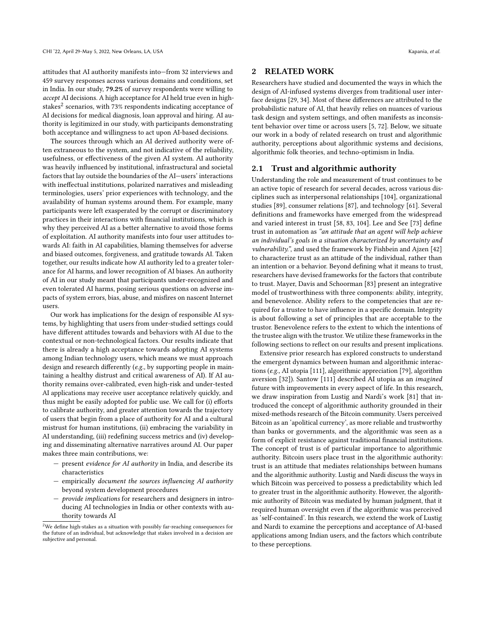attitudes that AI authority manifests into—from 32 interviews and 459 survey responses across various domains and conditions, set in India. In our study, 79.2% of survey respondents were willing to accept AI decisions. A high acceptance for AI held true even in highstakes $^2$  $^2$  scenarios, with 73% respondents indicating acceptance of AI decisions for medical diagnosis, loan approval and hiring. AI authority is legitimized in our study, with participants demonstrating both acceptance and willingness to act upon AI-based decisions.

The sources through which an AI derived authority were often extraneous to the system, and not indicative of the reliability, usefulness, or effectiveness of the given AI system. AI authority was heavily influenced by institutional, infrastructural and societal factors that lay outside the boundaries of the AI—users' interactions with ineffectual institutions, polarized narratives and misleading terminologies, users' prior experiences with technology, and the availability of human systems around them. For example, many participants were left exasperated by the corrupt or discriminatory practices in their interactions with financial institutions, which is why they perceived AI as a better alternative to avoid those forms of exploitation. AI authority manifests into four user attitudes towards AI: faith in AI capabilities, blaming themselves for adverse and biased outcomes, forgiveness, and gratitude towards AI. Taken together, our results indicate how AI authority led to a greater tolerance for AI harms, and lower recognition of AI biases. An authority of AI in our study meant that participants under-recognized and even tolerated AI harms, posing serious questions on adverse impacts of system errors, bias, abuse, and misfires on nascent Internet users.

Our work has implications for the design of responsible AI systems, by highlighting that users from under-studied settings could have different attitudes towards and behaviors with AI due to the contextual or non-technological factors. Our results indicate that there is already a high acceptance towards adopting AI systems among Indian technology users, which means we must approach design and research differently (e.g., by supporting people in maintaining a healthy distrust and critical awareness of AI). If AI authority remains over-calibrated, even high-risk and under-tested AI applications may receive user acceptance relatively quickly, and thus might be easily adopted for public use. We call for (i) efforts to calibrate authority, and greater attention towards the trajectory of users that begin from a place of authority for AI and a cultural mistrust for human institutions, (ii) embracing the variability in AI understanding, (iii) redefining success metrics and (iv) developing and disseminating alternative narratives around AI. Our paper makes three main contributions, we:

- $-$  present *evidence for AI authority* in India, and describe its characteristics
- empirically document the sources influencing AI authority beyond system development procedures
- provide implications for researchers and designers in introducing AI technologies in India or other contexts with authority towards AI

## 2 RELATED WORK

Researchers have studied and documented the ways in which the design of AI-infused systems diverges from traditional user interface designs [\[29,](#page-14-3) [34\]](#page-14-4). Most of these differences are attributed to the probabilistic nature of AI, that heavily relies on nuances of various task design and system settings, and often manifests as inconsistent behavior over time or across users [\[5,](#page-13-2) [72\]](#page-15-9). Below, we situate our work in a body of related research on trust and algorithmic authority, perceptions about algorithmic systems and decisions, algorithmic folk theories, and techno-optimism in India.

#### 2.1 Trust and algorithmic authority

Understanding the role and measurement of trust continues to be an active topic of research for several decades, across various disciplines such as interpersonal relationships [\[104\]](#page-16-6), organizational studies [\[89\]](#page-15-10), consumer relations [\[87\]](#page-15-11), and technology [\[61\]](#page-15-12). Several definitions and frameworks have emerged from the widespread and varied interest in trust [\[58,](#page-15-13) [83,](#page-15-14) [104\]](#page-16-6). Lee and See [\[73\]](#page-15-15) define trust in automation as "an attitude that an agent will help achieve an individual's goals in a situation characterized by uncertainty and vulnerability.", and used the framework by Fishbein and Ajzen [\[42\]](#page-14-5) to characterize trust as an attitude of the individual, rather than an intention or a behavior. Beyond defining what it means to trust, researchers have devised frameworks for the factors that contribute to trust. Mayer, Davis and Schoorman [\[83\]](#page-15-14) present an integrative model of trustworthiness with three components: ability, integrity, and benevolence. Ability refers to the competencies that are required for a trustee to have influence in a specific domain. Integrity is about following a set of principles that are acceptable to the trustor. Benevolence refers to the extent to which the intentions of the trustee align with the trustor. We utilize these frameworks in the following sections to reflect on our results and present implications.

Extensive prior research has explored constructs to understand the emergent dynamics between human and algorithmic interactions (e.g., AI utopia [\[111\]](#page-16-7), algorithmic appreciation [\[79\]](#page-15-16), algorithm aversion [\[32\]](#page-14-6)). Santow [\[111\]](#page-16-7) described AI utopia as an imagined future with improvements in every aspect of life. In this research, we draw inspiration from Lustig and Nardi's work [\[81\]](#page-15-7) that introduced the concept of algorithmic authority grounded in their mixed-methods research of the Bitcoin community. Users perceived Bitcoin as an 'apolitical currency', as more reliable and trustworthy than banks or governments, and the algorithmic was seen as a form of explicit resistance against traditional financial institutions. The concept of trust is of particular importance to algorithmic authority. Bitcoin users place trust in the algorithmic authority: trust is an attitude that mediates relationships between humans and the algorithmic authority. Lustig and Nardi discuss the ways in which Bitcoin was perceived to possess a predictability which led to greater trust in the algorithmic authority. However, the algorithmic authority of Bitcoin was mediated by human judgment, that it required human oversight even if the algorithmic was perceived as 'self-contained'. In this research, we extend the work of Lustig and Nardi to examine the perceptions and acceptance of AI-based applications among Indian users, and the factors which contribute to these perceptions.

<span id="page-1-0"></span> $^2\rm{We}$  define high-stakes as a situation with possibly far-reaching consequences for the future of an individual, but acknowledge that stakes involved in a decision are subjective and personal.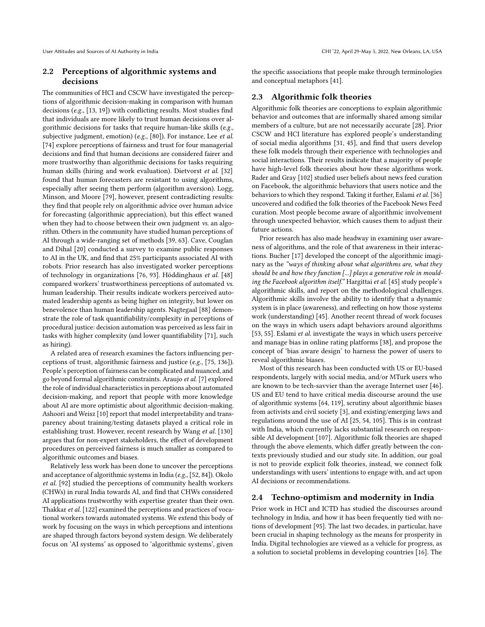## 2.2 Perceptions of algorithmic systems and decisions

The communities of HCI and CSCW have investigated the perceptions of algorithmic decision-making in comparison with human decisions (e.g., [\[13,](#page-13-3) [19\]](#page-13-0)) with conflicting results. Most studies find that individuals are more likely to trust human decisions over algorithmic decisions for tasks that require human-like skills (e.g., subjective judgment, emotion) (e.g., [\[80\]](#page-15-3)). For instance, Lee et al. [\[74\]](#page-15-2) explore perceptions of fairness and trust for four managerial decisions and find that human decisions are considered fairer and more trustworthy than algorithmic decisions for tasks requiring human skills (hiring and work evaluation). Dietvorst et al. [\[32\]](#page-14-6) found that human forecasters are resistant to using algorithms, especially after seeing them perform (algorithm aversion). Logg, Minson, and Moore [\[79\]](#page-15-16), however, present contradicting results: they find that people rely on algorithmic advice over human advice for forecasting (algorithmic appreciation), but this effect waned when they had to choose between their own judgment *vs.* an algorithm. Others in the community have studied human perceptions of AI through a wide-ranging set of methods [\[39,](#page-14-7) [63\]](#page-15-17). Cave, Couglan and Dihal [\[20\]](#page-13-4) conducted a survey to examine public responses to AI in the UK, and find that 25% participants associated AI with robots. Prior research has also investigated worker perceptions of technology in organizations [\[76,](#page-15-18) [93\]](#page-15-19). Höddinghaus et al. [\[48\]](#page-14-8) compared workers' trustworthiness perceptions of automated vs. human leadership. Their results indicate workers perceived automated leadership agents as being higher on integrity, but lower on benevolence than human leadership agents. Nagtegaal [\[88\]](#page-15-20) demonstrate the role of task quantifiability/complexity in perceptions of procedural justice: decision automation was perceived as less fair in tasks with higher complexity (and lower quantifiability [\[71\]](#page-15-21), such as hiring).

A related area of research examines the factors influencing perceptions of trust, algorithmic fairness and justice (e.g., [\[75,](#page-15-22) [136\]](#page-16-8)). People's perception of fairness can be complicated and nuanced, and go beyond formal algorithmic constraints. Araujo et al. [\[7\]](#page-13-5) explored the role of individual characteristics in perceptions about automated decision-making, and report that people with more knowledge about AI are more optimistic about algorithmic decision-making. Ashoori and Weisz [\[10\]](#page-13-6) report that model interpretability and transparency about training/testing datasets played a critical role in establishing trust. However, recent research by Wang et al. [\[130\]](#page-16-9) argues that for non-expert stakeholders, the effect of development procedures on perceived fairness is much smaller as compared to algorithmic outcomes and biases.

Relatively less work has been done to uncover the perceptions and acceptance of algorithmic systems in India (e.g., [\[52,](#page-14-9) [84\]](#page-15-23)). Okolo et al. [\[92\]](#page-15-24) studied the perceptions of community health workers (CHWs) in rural India towards AI, and find that CHWs considered AI applications trustworthy with expertise greater than their own. Thakkar et al. [\[122\]](#page-16-10) examined the perceptions and practices of vocational workers towards automated systems. We extend this body of work by focusing on the ways in which perceptions and intentions are shaped through factors beyond system design. We deliberately focus on 'AI systems' as opposed to 'algorithmic systems', given

the specific associations that people make through terminologies and conceptual metaphors [\[41\]](#page-14-10).

## 2.3 Algorithmic folk theories

Algorithmic folk theories are conceptions to explain algorithmic behavior and outcomes that are informally shared among similar members of a culture, but are not necessarily accurate [\[28\]](#page-14-11). Prior CSCW and HCI literature has explored people's understanding of social media algorithms [\[31,](#page-14-12) [45\]](#page-14-13), and find that users develop these folk models through their experience with technologies and social interactions. Their results indicate that a majority of people have high-level folk theories about how these algorithms work. Rader and Gray [\[102\]](#page-16-11) studied user beliefs about news feed curation on Facebook, the algorithmic behaviors that users notice and the behaviors to which they respond. Taking it further, Eslami et al. [\[36\]](#page-14-14) uncovered and codified the folk theories of the Facebook News Feed curation. Most people become aware of algorithmic involvement through unexpected behavior, which causes them to adjust their future actions.

Prior research has also made headway in examining user awareness of algorithms, and the role of that awareness in their interactions. Bucher [\[17\]](#page-13-7) developed the concept of the algorithmic imaginary as the "ways of thinking about what algorithms are, what they should be and how they function [...] plays a generative role in moulding the Facebook algorithm itself." Hargittai et al. [\[45\]](#page-14-13) study people's algorithmic skills, and report on the methodological challenges. Algorithmic skills involve the ability to identify that a dynamic system is in place (awareness), and reflecting on how those systems work (understanding) [\[45\]](#page-14-13). Another recent thread of work focuses on the ways in which users adapt behaviors around algorithms [\[53,](#page-14-15) [55\]](#page-14-16). Eslami et al. investigate the ways in which users perceive and manage bias in online rating platforms [\[38\]](#page-14-17), and propose the concept of 'bias aware design' to harness the power of users to reveal algorithmic biases.

Most of this research has been conducted with US or EU-based respondents, largely with social media, and/or MTurk users who are known to be tech-savvier than the average Internet user [\[46\]](#page-14-18). US and EU tend to have critical media discourse around the use of algorithmic systems [\[64,](#page-15-25) [119\]](#page-16-12), scrutiny about algorithmic biases from activists and civil society [\[3\]](#page-13-8), and existing/emerging laws and regulations around the use of AI [\[25,](#page-14-19) [54,](#page-14-20) [105\]](#page-16-13). This is in contrast with India, which currently lacks substantial research on responsible AI development [\[107\]](#page-16-5). Algorithmic folk theories are shaped through the above elements, which differ greatly between the contexts previously studied and our study site. In addition, our goal is not to provide explicit folk theories, instead, we connect folk understandings with users' intentions to engage with, and act upon AI decisions or recommendations.

#### 2.4 Techno-optimism and modernity in India

Prior work in HCI and ICTD has studied the discourses around technology in India, and how it has been frequently tied with notions of development [\[95\]](#page-15-5). The last two decades, in particular, have been crucial in shaping technology as the means for prosperity in India. Digital technologies are viewed as a vehicle for progress, as a solution to societal problems in developing countries [\[16\]](#page-13-9). The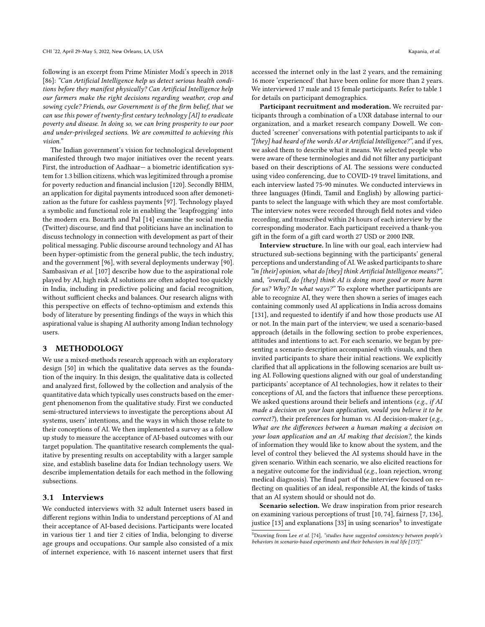following is an excerpt from Prime Minister Modi's speech in 2018 [\[86\]](#page-15-26): "Can Artificial Intelligence help us detect serious health conditions before they manifest physically? Can Artificial Intelligence help our farmers make the right decisions regarding weather, crop and sowing cycle? Friends, our Government is of the firm belief, that we can use this power of twenty-first century technology [AI] to eradicate poverty and disease. In doing so, we can bring prosperity to our poor and under-privileged sections. We are committed to achieving this vision."

The Indian government's vision for technological development manifested through two major initiatives over the recent years. First, the introduction of Aadhaar— a biometric identification system for 1.3 billion citizens, which was legitimized through a promise for poverty reduction and financial inclusion [\[120\]](#page-16-14). Secondly BHIM, an application for digital payments introduced soon after demonetization as the future for cashless payments [\[97\]](#page-15-27). Technology played a symbolic and functional role in enabling the 'leapfrogging' into the modern era. Bozarth and Pal [\[14\]](#page-13-1) examine the social media (Twitter) discourse, and find that politicians have an inclination to discuss technology in connection with development as part of their political messaging. Public discourse around technology and AI has been hyper-optimistic from the general public, the tech industry, and the government [\[96\]](#page-15-28), with several deployments underway [\[90\]](#page-15-29). Sambasivan et al. [\[107\]](#page-16-5) describe how due to the aspirational role played by AI, high risk AI solutions are often adopted too quickly in India, including in predictive policing and facial recognition, without sufficient checks and balances. Our research aligns with this perspective on effects of techno-optimism and extends this body of literature by presenting findings of the ways in which this aspirational value is shaping AI authority among Indian technology users.

### 3 METHODOLOGY

We use a mixed-methods research approach with an exploratory design [\[50\]](#page-14-21) in which the qualitative data serves as the foundation of the inquiry. In this design, the qualitative data is collected and analyzed first, followed by the collection and analysis of the quantitative data which typically uses constructs based on the emergent phenomenon from the qualitative study. First we conducted semi-structured interviews to investigate the perceptions about AI systems, users' intentions, and the ways in which those relate to their conceptions of AI. We then implemented a survey as a follow up study to measure the acceptance of AI-based outcomes with our target population. The quantitative research complements the qualitative by presenting results on acceptability with a larger sample size, and establish baseline data for Indian technology users. We describe implementation details for each method in the following subsections.

#### 3.1 Interviews

We conducted interviews with 32 adult Internet users based in different regions within India to understand perceptions of AI and their acceptance of AI-based decisions. Participants were located in various tier 1 and tier 2 cities of India, belonging to diverse age groups and occupations. Our sample also consisted of a mix of internet experience, with 16 nascent internet users that first accessed the internet only in the last 2 years, and the remaining 16 more 'experienced' that have been online for more than 2 years. We interviewed 17 male and 15 female participants. Refer to table [1](#page-4-0) for details on participant demographics.

Participant recruitment and moderation. We recruited participants through a combination of a UXR database internal to our organization, and a market research company Dowell. We conducted 'screener' conversations with potential participants to ask if "[they] had heard of the words AI or Artificial Intelligence?", and if yes, we asked them to describe what it means. We selected people who were aware of these terminologies and did not filter any participant based on their descriptions of AI. The sessions were conducted using video conferencing, due to COVID-19 travel limitations, and each interview lasted 75-90 minutes. We conducted interviews in three languages (Hindi, Tamil and English) by allowing participants to select the language with which they are most comfortable. The interview notes were recorded through field notes and video recording, and transcribed within 24 hours of each interview by the corresponding moderator. Each participant received a thank-you gift in the form of a gift card worth 27 USD or 2000 INR.

Interview structure. In line with our goal, each interview had structured sub-sections beginning with the participants' general perceptions and understanding of AI. We asked participants to share "in [their] opinion, what do [they] think Artificial Intelligence means?", and, "overall, do [they] think AI is doing more good or more harm for us? Why? In what ways?" To explore whether participants are able to recognize AI, they were then shown a series of images each containing commonly used AI applications in India across domains [\[131\]](#page-16-15), and requested to identify if and how those products use AI or not. In the main part of the interview, we used a scenario-based approach (details in the following section to probe experiences, attitudes and intentions to act. For each scenario, we began by presenting a scenario description accompanied with visuals, and then invited participants to share their initial reactions. We explicitly clarified that all applications in the following scenarios are built using AI. Following questions aligned with our goal of understanding participants' acceptance of AI technologies, how it relates to their conceptions of AI, and the factors that influence these perceptions. We asked questions around their beliefs and intentions (e.g., if AI made a decision on your loan application, would you believe it to be correct?), their preferences for human vs. AI decision-maker (e.g., What are the differences between a human making a decision on your loan application and an AI making that decision?, the kinds of information they would like to know about the system, and the level of control they believed the AI systems should have in the given scenario. Within each scenario, we also elicited reactions for a negative outcome for the individual (e.g., loan rejection, wrong medical diagnosis). The final part of the interview focused on reflecting on qualities of an ideal, responsible AI, the kinds of tasks that an AI system should or should not do.

Scenario selection. We draw inspiration from prior research on examining various perceptions of trust [\[10,](#page-13-6) [74\]](#page-15-2), fairness [\[7,](#page-13-5) [136\]](#page-16-8), justice [\[13\]](#page-13-3) and explanations [\[33\]](#page-14-22) in using scenarios $^3$  $^3$  to investigate

<span id="page-3-0"></span> $3$ Drawing from Lee et al. [\[74\]](#page-15-2), "studies have suggested consistency between people's behaviors in scenario-based experiments and their behaviors in real life [\[137\]](#page-16-16).'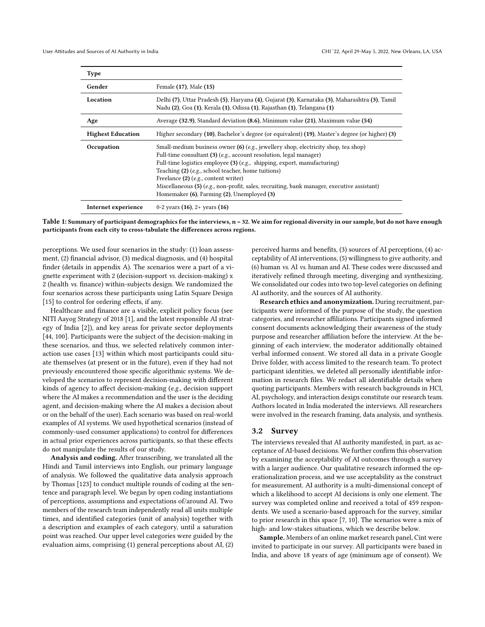<span id="page-4-0"></span>

| <b>Type</b>              |                                                                                                                                                                                                                                                                                                                                                                                                                                                          |
|--------------------------|----------------------------------------------------------------------------------------------------------------------------------------------------------------------------------------------------------------------------------------------------------------------------------------------------------------------------------------------------------------------------------------------------------------------------------------------------------|
| Gender                   | Female (17), Male (15)                                                                                                                                                                                                                                                                                                                                                                                                                                   |
| Location                 | Delhi (7), Uttar Pradesh (5), Haryana (4), Gujarat (3), Karnataka (3), Maharashtra (3), Tamil<br>Nadu (2), Goa (1), Kerala (1), Odissa (1), Rajasthan (1), Telangana (1)                                                                                                                                                                                                                                                                                 |
| Age                      | Average (32.9), Standard deviation (8.6), Minimum value (21), Maximum value (54)                                                                                                                                                                                                                                                                                                                                                                         |
| <b>Highest Education</b> | Higher secondary (10), Bachelor's degree (or equivalent) (19), Master's degree (or higher) (3)                                                                                                                                                                                                                                                                                                                                                           |
| Occupation               | Small-medium business owner (6) ( <i>e.g.</i> , jewellery shop, electricity shop, tea shop)<br>Full-time consultant (3) (e.g., account resolution, legal manager)<br>Full-time logistics employee $(3)$ (e.g., shipping, export, manufacturing)<br>Teaching (2) (e.g., school teacher, home tuitions)<br>Freelance $(2)$ ( <i>e.g.</i> , content writer)<br>Miscellaneous $(5)$ (e.g., non-profit, sales, recruiting, bank manager, executive assistant) |
|                          | Homemaker (6), Farming (2), Unemployed (3)                                                                                                                                                                                                                                                                                                                                                                                                               |

Table 1: Summary of participant demographics for the interviews, n = 32. We aim for regional diversity in our sample, but do not have enough participants from each city to cross-tabulate the differences across regions.

perceptions. We used four scenarios in the study: (1) loan assessment, (2) financial advisor, (3) medical diagnosis, and (4) hospital finder (details in appendix A). The scenarios were a part of a vignette experiment with 2 (decision-support vs. decision-making) x 2 (health vs. finance) within-subjects design. We randomized the four scenarios across these participants using Latin Square Design [\[15\]](#page-13-10) to control for ordering effects, if any.

Healthcare and finance are a visible, explicit policy focus (see NITI Aayog Strategy of 2018 [\[1\]](#page-13-11), and the latest responsible AI strategy of India [\[2\]](#page-13-12)), and key areas for private sector deployments [\[44,](#page-14-23) [100\]](#page-16-2). Participants were the subject of the decision-making in these scenarios, and thus, we selected relatively common interaction use cases [\[13\]](#page-13-3) within which most participants could situate themselves (at present or in the future), even if they had not previously encountered those specific algorithmic systems. We developed the scenarios to represent decision-making with different kinds of agency to affect decision-making (e.g., decision support where the AI makes a recommendation and the user is the deciding agent, and decision-making where the AI makes a decision about or on the behalf of the user). Each scenario was based on real-world examples of AI systems. We used hypothetical scenarios (instead of commonly-used consumer applications) to control for differences in actual prior experiences across participants, so that these effects do not manipulate the results of our study.

Analysis and coding. After transcribing, we translated all the Hindi and Tamil interviews into English, our primary language of analysis. We followed the qualitative data analysis approach by Thomas [\[123\]](#page-16-17) to conduct multiple rounds of coding at the sentence and paragraph level. We began by open coding instantiations of perceptions, assumptions and expectations of/around AI. Two members of the research team independently read all units multiple times, and identified categories (unit of analysis) together with a description and examples of each category, until a saturation point was reached. Our upper level categories were guided by the evaluation aims, comprising (1) general perceptions about AI, (2)

perceived harms and benefits, (3) sources of AI perceptions, (4) acceptability of AI interventions, (5) willingness to give authority, and (6) human vs. AI vs. human and AI. These codes were discussed and iteratively refined through meeting, diverging and synthesizing. We consolidated our codes into two top-level categories on defining AI authority, and the sources of AI authority.

Research ethics and anonymization. During recruitment, participants were informed of the purpose of the study, the question categories, and researcher affiliations. Participants signed informed consent documents acknowledging their awareness of the study purpose and researcher affiliation before the interview. At the beginning of each interview, the moderator additionally obtained verbal informed consent. We stored all data in a private Google Drive folder, with access limited to the research team. To protect participant identities, we deleted all personally identifiable information in research files. We redact all identifiable details when quoting participants. Members with research backgrounds in HCI, AI, psychology, and interaction design constitute our research team. Authors located in India moderated the interviews. All researchers were involved in the research framing, data analysis, and synthesis.

#### 3.2 Survey

The interviews revealed that AI authority manifested, in part, as acceptance of AI-based decisions. We further confirm this observation by examining the acceptability of AI outcomes through a survey with a larger audience. Our qualitative research informed the operationalization process, and we use acceptability as the construct for measurement. AI authority is a multi-dimensional concept of which a likelihood to accept AI decisions is only one element. The survey was completed online and received a total of 459 respondents. We used a scenario-based approach for the survey, similar to prior research in this space [\[7,](#page-13-5) [10\]](#page-13-6). The scenarios were a mix of high- and low-stakes situations, which we describe below.

Sample. Members of an online market research panel, Cint were invited to participate in our survey. All participants were based in India, and above 18 years of age (minimum age of consent). We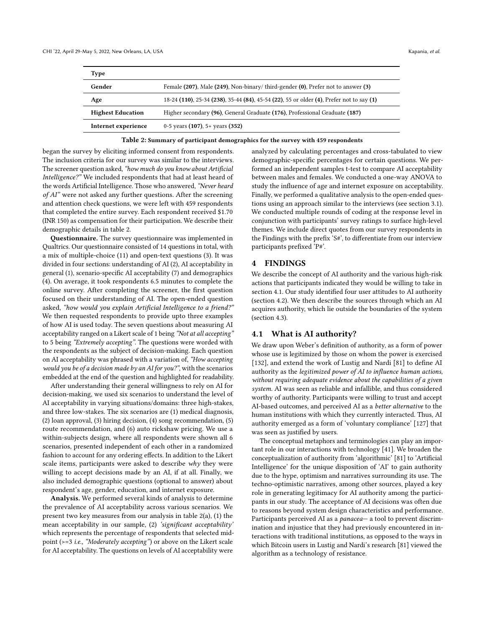<span id="page-5-0"></span>

| Type                     |                                                                                          |
|--------------------------|------------------------------------------------------------------------------------------|
| Gender                   | Female (207), Male (249), Non-binary/third-gender (0), Prefer not to answer (3)          |
| Age                      | 18-24 (110), 25-34 (238), 35-44 (84), 45-54 (22), 55 or older (4), Prefer not to say (1) |
| <b>Highest Education</b> | Higher secondary (96), General Graduate (176), Professional Graduate (187)               |
| Internet experience      | 0-5 years $(107)$ , 5+ years $(352)$                                                     |

Table 2: Summary of participant demographics for the survey with 459 respondents

began the survey by eliciting informed consent from respondents. The inclusion criteria for our survey was similar to the interviews. The screener question asked, "how much do you know about Artificial Intelligence?" We included respondents that had at least heard of the words Artificial Intelligence. Those who answered, "Never heard of AI" were not asked any further questions. After the screening and attention check questions, we were left with 459 respondents that completed the entire survey. Each respondent received \$1.70 (INR 150) as compensation for their participation. We describe their demographic details in table [2.](#page-5-0)

Questionnaire. The survey questionnaire was implemented in Qualtrics. Our questionnaire consisted of 14 questions in total, with a mix of multiple-choice (11) and open-text questions (3). It was divided in four sections: understanding of AI (2), AI acceptability in general (1), scenario-specific AI acceptability (7) and demographics (4). On average, it took respondents 6.5 minutes to complete the online survey. After completing the screener, the first question focused on their understanding of AI. The open-ended question asked, "how would you explain Artificial Intelligence to a friend?" We then requested respondents to provide upto three examples of how AI is used today. The seven questions about measuring AI acceptability ranged on a Likert scale of 1 being "Not at all accepting" to 5 being "Extremely accepting". The questions were worded with the respondents as the subject of decision-making. Each question on AI acceptability was phrased with a variation of, "How accepting would you be of a decision made by an AI for you?", with the scenarios embedded at the end of the question and highlighted for readability.

After understanding their general willingness to rely on AI for decision-making, we used six scenarios to understand the level of AI acceptability in varying situations/domains: three high-stakes, and three low-stakes. The six scenarios are (1) medical diagnosis, (2) loan approval, (3) hiring decision, (4) song recommendation, (5) route recommendation, and (6) auto rickshaw pricing. We use a within-subjects design, where all respondents were shown all 6 scenarios, presented independent of each other in a randomized fashion to account for any ordering effects. In addition to the Likert scale items, participants were asked to describe why they were willing to accept decisions made by an AI, if at all. Finally, we also included demographic questions (optional to answer) about respondent's age, gender, education, and internet exposure.

Analysis. We performed several kinds of analysis to determine the prevalence of AI acceptability across various scenarios. We present two key measures from our analysis in table 2(a), (1) the mean acceptability in our sample, (2) 'significant acceptability' which represents the percentage of respondents that selected midpoint (>=3 i.e., "Moderately accepting") or above on the Likert scale for AI acceptability. The questions on levels of AI acceptability were

analyzed by calculating percentages and cross-tabulated to view demographic-specific percentages for certain questions. We performed an independent samples t-test to compare AI acceptability between males and females. We conducted a one-way ANOVA to study the influence of age and internet exposure on acceptability. Finally, we performed a qualitative analysis to the open-ended questions using an approach similar to the interviews (see section [3.1\)](#page-4-0). We conducted multiple rounds of coding at the response level in conjunction with participants' survey ratings to surface high-level themes. We include direct quotes from our survey respondents in the Findings with the prefix 'S#', to differentiate from our interview participants prefixed 'P#'.

#### 4 FINDINGS

We describe the concept of AI authority and the various high-risk actions that participants indicated they would be willing to take in section 4.1. Our study identified four user attitudes to AI authority (section 4.2). We then describe the sources through which an AI acquires authority, which lie outside the boundaries of the system (section 4.3).

#### 4.1 What is AI authority?

We draw upon Weber's definition of authority, as a form of power whose use is legitimized by those on whom the power is exercised [\[132\]](#page-16-18), and extend the work of Lustig and Nardi [\[81\]](#page-15-7) to define AI authority as the legitimized power of AI to influence human actions, without requiring adequate evidence about the capabilities of a given system. AI was seen as reliable and infallible, and thus considered worthy of authority. Participants were willing to trust and accept AI-based outcomes, and perceived AI as a better alternative to the human institutions with which they currently interacted. Thus, AI authority emerged as a form of 'voluntary compliance' [\[127\]](#page-16-19) that was seen as justified by users.

The conceptual metaphors and terminologies can play an important role in our interactions with technology [\[41\]](#page-14-10). We broaden the conceptualization of authority from 'algorithmic' [\[81\]](#page-15-7) to 'Artificial Intelligence' for the unique disposition of 'AI' to gain authority due to the hype, optimism and narratives surrounding its use. The techno-optimistic narratives, among other sources, played a key role in generating legitimacy for AI authority among the participants in our study. The acceptance of AI decisions was often due to reasons beyond system design characteristics and performance. Participants perceived AI as a panacea— a tool to prevent discrimination and injustice that they had previously encountered in interactions with traditional institutions, as opposed to the ways in which Bitcoin users in Lustig and Nardi's research [\[81\]](#page-15-7) viewed the algorithm as a technology of resistance.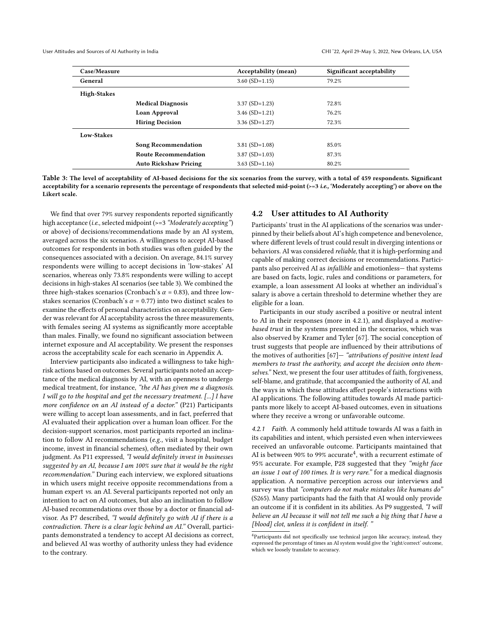<span id="page-6-0"></span>

| Case/Measure       |                              | <b>Acceptability (mean)</b> | Significant acceptability |
|--------------------|------------------------------|-----------------------------|---------------------------|
| General            |                              | $3.60$ (SD=1.15)            | 79.2%                     |
| <b>High-Stakes</b> |                              |                             |                           |
|                    | <b>Medical Diagnosis</b>     | $3.37$ (SD=1.23)            | 72.8%                     |
|                    | Loan Approval                | $3.46$ (SD=1.21)            | 76.2%                     |
|                    | <b>Hiring Decision</b>       | $3.36$ (SD=1.27)            | 72.3%                     |
| Low-Stakes         |                              |                             |                           |
|                    | <b>Song Recommendation</b>   | $3.81$ (SD= $1.08$ )        | 85.0%                     |
|                    | <b>Route Recommendation</b>  | $3.87$ (SD= $1.03$ )        | 87.3%                     |
|                    | <b>Auto Rickshaw Pricing</b> | $3.63$ (SD=1.16)            | 80.2%                     |

Table 3: The level of acceptability of AI-based decisions for the six scenarios from the survey, with a total of 459 respondents. Significant acceptability for a scenario represents the percentage of respondents that selected mid-point  $(>= 3 i.e., 'Modern' key')$  or above on the Likert scale.

We find that over 79% survey respondents reported significantly high acceptance (i.e., selected midpoint (>=3 "Moderately accepting") or above) of decisions/recommendations made by an AI system, averaged across the six scenarios. A willingness to accept AI-based outcomes for respondents in both studies was often guided by the consequences associated with a decision. On average, 84.1% survey respondents were willing to accept decisions in 'low-stakes' AI scenarios, whereas only 73.8% respondents were willing to accept decisions in high-stakes AI scenarios (see table [3\)](#page-6-0). We combined the three high-stakes scenarios (Cronbach's  $\alpha$  = 0.83), and three lowstakes scenarios (Cronbach's  $\alpha$  = 0.77) into two distinct scales to examine the effects of personal characteristics on acceptability. Gender was relevant for AI acceptability across the three measurements, with females seeing AI systems as significantly more acceptable than males. Finally, we found no significant association between internet exposure and AI acceptability. We present the responses across the acceptability scale for each scenario in Appendix A.

Interview participants also indicated a willingness to take highrisk actions based on outcomes. Several participants noted an acceptance of the medical diagnosis by AI, with an openness to undergo medical treatment, for instance, "the AI has given me a diagnosis. I will go to the hospital and get the necessary treatment. [...] I have more confidence on an AI instead of a doctor." (P21) Participants were willing to accept loan assessments, and in fact, preferred that AI evaluated their application over a human loan officer. For the decision-support scenarios, most participants reported an inclination to follow AI recommendations (e.g., visit a hospital, budget income, invest in financial schemes), often mediated by their own judgment. As P11 expressed, "I would definitely invest in businesses suggested by an AI, because I am 100% sure that it would be the right recommendation." During each interview, we explored situations in which users might receive opposite recommendations from a human expert vs. an AI. Several participants reported not only an intention to act on AI outcomes, but also an inclination to follow AI-based recommendations over those by a doctor or financial advisor. As P7 described, "I would definitely go with AI if there is a contradiction. There is a clear logic behind an AI." Overall, participants demonstrated a tendency to accept AI decisions as correct, and believed AI was worthy of authority unless they had evidence to the contrary.

#### 4.2 User attitudes to AI Authority

Participants' trust in the AI applications of the scenarios was underpinned by their beliefs about AI's high competence and benevolence, where different levels of trust could result in diverging intentions or behaviors. AI was considered reliable, that it is high-performing and capable of making correct decisions or recommendations. Participants also perceived AI as infallible and emotionless— that systems are based on facts, logic, rules and conditions or parameters, for example, a loan assessment AI looks at whether an individual's salary is above a certain threshold to determine whether they are eligible for a loan.

Participants in our study ascribed a positive or neutral intent to AI in their responses (more in 4.2.1), and displayed a motivebased trust in the systems presented in the scenarios, which was also observed by Kramer and Tyler [\[67\]](#page-15-30). The social conception of trust suggests that people are influenced by their attributions of the motives of authorities  $[67]$  - "attributions of positive intent lead members to trust the authority, and accept the decision onto themselves." Next, we present the four user attitudes of faith, forgiveness, self-blame, and gratitude, that accompanied the authority of AI, and the ways in which these attitudes affect people's interactions with AI applications. The following attitudes towards AI made participants more likely to accept AI-based outcomes, even in situations where they receive a wrong or unfavorable outcome.

4.2.1 Faith. A commonly held attitude towards AI was a faith in its capabilities and intent, which persisted even when interviewees received an unfavorable outcome. Participants maintained that AI is between 90% to 99% accurate $^4$  $^4$ , with a recurrent estimate of 95% accurate. For example, P28 suggested that they "might face an issue 1 out of 100 times. It is very rare." for a medical diagnosis application. A normative perception across our interviews and survey was that "computers do not make mistakes like humans do" (S265). Many participants had the faith that AI would only provide an outcome if it is confident in its abilities. As P9 suggested, "I will believe an AI because it will not tell me such a big thing that I have a [blood] clot, unless it is confident in itself."

<span id="page-6-1"></span><sup>4</sup>Participants did not specifically use technical jargon like accuracy, instead, they expressed the percentage of times an AI system would give the 'right/correct' outcome, which we loosely translate to accuracy.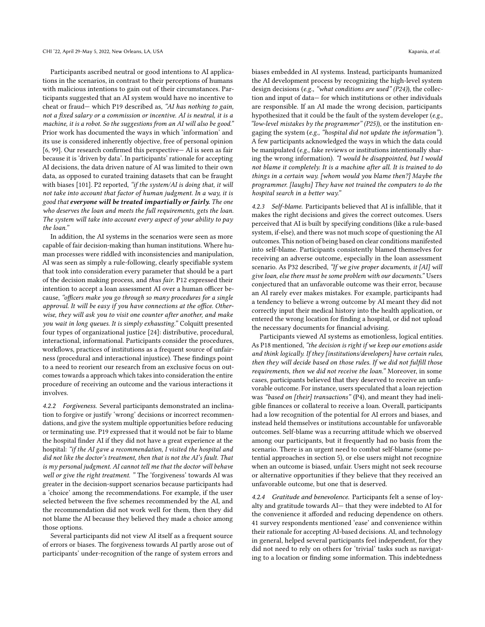Participants ascribed neutral or good intentions to AI applications in the scenarios, in contrast to their perceptions of humans with malicious intentions to gain out of their circumstances. Participants suggested that an AI system would have no incentive to cheat or fraud— which P19 described as, "AI has nothing to gain, not a fixed salary or a commission or incentive. AI is neutral, it is a machine, it is a robot. So the suggestions from an AI will also be good." Prior work has documented the ways in which 'information' and its use is considered inherently objective, free of personal opinion [\[6,](#page-13-13) [99\]](#page-15-31). Our research confirmed this perspective— AI is seen as fair because it is 'driven by data'. In participants' rationale for accepting AI decisions, the data driven nature of AI was limited to their own data, as opposed to curated training datasets that can be fraught with biases [\[101\]](#page-16-20). P2 reported, "if the system/AI is doing that, it will not take into account that factor of human judgment. In a way, it is good that everyone will be treated impartially or fairly. The one who deserves the loan and meets the full requirements, gets the loan. The system will take into account every aspect of your ability to pay the loan."

In addition, the AI systems in the scenarios were seen as more capable of fair decision-making than human institutions. Where human processes were riddled with inconsistencies and manipulation, AI was seen as simply a rule-following, clearly specifiable system that took into consideration every parameter that should be a part of the decision making process, and thus fair. P12 expressed their intention to accept a loan assessment AI over a human officer because, "officers make you go through so many procedures for a single approval. It will be easy if you have connections at the office. Otherwise, they will ask you to visit one counter after another, and make you wait in long queues. It is simply exhausting." Colquitt presented four types of organizational justice [\[24\]](#page-14-24): distributive, procedural, interactional, informational. Participants consider the procedures, workflows, practices of institutions as a frequent source of unfairness (procedural and interactional injustice). These findings point to a need to reorient our research from an exclusive focus on outcomes towards a approach which takes into consideration the entire procedure of receiving an outcome and the various interactions it involves.

4.2.2 Forgiveness. Several participants demonstrated an inclination to forgive or justify 'wrong' decisions or incorrect recommendations, and give the system multiple opportunities before reducing or terminating use. P19 expressed that it would not be fair to blame the hospital finder AI if they did not have a great experience at the hospital: "if the AI gave a recommendation, I visited the hospital and did not like the doctor's treatment, then that is not the AI's fault. That is my personal judgment. AI cannot tell me that the doctor will behave well or give the right treatment. " The 'forgiveness' towards AI was greater in the decision-support scenarios because participants had a 'choice' among the recommendations. For example, if the user selected between the five schemes recommended by the AI, and the recommendation did not work well for them, then they did not blame the AI because they believed they made a choice among those options.

Several participants did not view AI itself as a frequent source of errors or biases. The forgiveness towards AI partly arose out of participants' under-recognition of the range of system errors and

biases embedded in AI systems. Instead, participants humanized the AI development process by recognizing the high-level system design decisions (e.g., "what conditions are used" (P24)), the collection and input of data— for which institutions or other individuals are responsible. If an AI made the wrong decision, participants hypothesized that it could be the fault of the system developer (e.g., "low-level mistakes by the programmer" (P25)), or the institution engaging the system (e.g., "hospital did not update the information"). A few participants acknowledged the ways in which the data could be manipulated (e.g., fake reviews or institutions intentionally sharing the wrong information). "I would be disappointed, but I would not blame it completely. It is a machine after all. It is trained to do things in a certain way. [whom would you blame then?] Maybe the programmer. [laughs] They have not trained the computers to do the hospital search in a better way."

4.2.3 Self-blame. Participants believed that AI is infallible, that it makes the right decisions and gives the correct outcomes. Users perceived that AI is built by specifying conditions (like a rule-based system, if-else), and there was not much scope of questioning the AI outcomes. This notion of being based on clear conditions manifested into self-blame. Participants consistently blamed themselves for receiving an adverse outcome, especially in the loan assessment scenario. As P32 described, "If we give proper documents, it [AI] will give loan, else there must be some problem with our documents." Users conjectured that an unfavorable outcome was their error, because an AI rarely ever makes mistakes. For example, participants had a tendency to believe a wrong outcome by AI meant they did not correctly input their medical history into the health application, or entered the wrong location for finding a hospital, or did not upload the necessary documents for financial advising.

Participants viewed AI systems as emotionless, logical entities. As P18 mentioned, "the decision is right if we keep our emotions aside and think logically. If they [institutions/developers] have certain rules, then they will decide based on those rules. If we did not fulfill those requirements, then we did not receive the loan." Moreover, in some cases, participants believed that they deserved to receive an unfavorable outcome. For instance, users speculated that a loan rejection was "based on [their] transactions" (P4), and meant they had ineligible finances or collateral to receive a loan. Overall, participants had a low recognition of the potential for AI errors and biases, and instead held themselves or institutions accountable for unfavorable outcomes. Self-blame was a recurring attitude which we observed among our participants, but it frequently had no basis from the scenario. There is an urgent need to combat self-blame (some potential approaches in section 5), or else users might not recognize when an outcome is biased, unfair. Users might not seek recourse or alternative opportunities if they believe that they received an unfavorable outcome, but one that is deserved.

4.2.4 Gratitude and benevolence. Participants felt a sense of loyalty and gratitude towards AI— that they were indebted to AI for the convenience it afforded and reducing dependence on others. 41 survey respondents mentioned 'ease' and convenience within their rationale for accepting AI-based decisions. AI, and technology in general, helped several participants feel independent, for they did not need to rely on others for 'trivial' tasks such as navigating to a location or finding some information. This indebtedness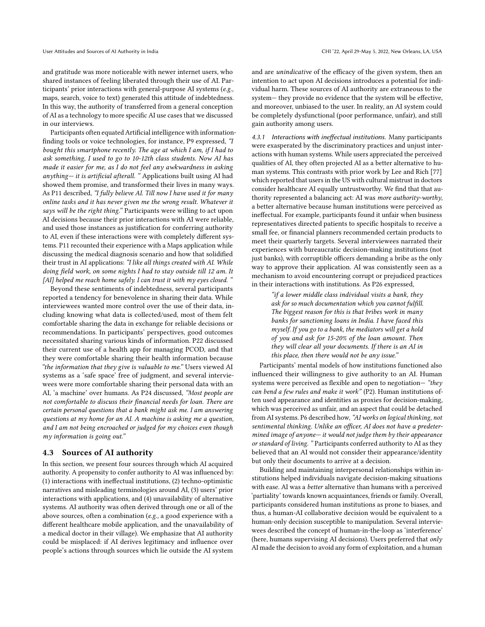and gratitude was more noticeable with newer internet users, who shared instances of feeling liberated through their use of AI. Participants' prior interactions with general-purpose AI systems (e.g., maps, search, voice to text) generated this attitude of indebtedness. In this way, the authority of transferred from a general conception of AI as a technology to more specific AI use cases that we discussed in our interviews.

Participants often equated Artificial intelligence with informationfinding tools or voice technologies, for instance, P9 expressed, "I bought this smartphone recently. The age at which I am, if I had to ask something, I used to go to 10-12th class students. Now AI has made it easier for me, as I do not feel any awkwardness in asking anything— it is artificial afterall. " Applications built using AI had showed them promise, and transformed their lives in many ways. As P11 described, "I fully believe AI. Till now I have used it for many online tasks and it has never given me the wrong result. Whatever it says will be the right thing." Participants were willing to act upon AI decisions because their prior interactions with AI were reliable, and used those instances as justification for conferring authority to AI, even if these interactions were with completely different systems. P11 recounted their experience with a Maps application while discussing the medical diagnosis scenario and how that solidified their trust in AI applications: "I like all things created with AI. While doing field work, on some nights I had to stay outside till 12 am. It [AI] helped me reach home safely. I can trust it with my eyes closed. "

Beyond these sentiments of indebtedness, several participants reported a tendency for benevolence in sharing their data. While interviewees wanted more control over the use of their data, including knowing what data is collected/used, most of them felt comfortable sharing the data in exchange for reliable decisions or recommendations. In participants' perspectives, good outcomes necessitated sharing various kinds of information. P22 discussed their current use of a health app for managing PCOD, and that they were comfortable sharing their health information because "the information that they give is valuable to me." Users viewed AI systems as a 'safe space' free of judgment, and several interviewees were more comfortable sharing their personal data with an AI, 'a machine' over humans. As P24 discussed, "Most people are not comfortable to discuss their financial needs for loan. There are certain personal questions that a bank might ask me. I am answering questions at my home for an AI. A machine is asking me a question, and I am not being encroached or judged for my choices even though my information is going out."

#### 4.3 Sources of AI authority

In this section, we present four sources through which AI acquired authority. A propensity to confer authority to AI was influenced by: (1) interactions with ineffectual institutions, (2) techno-optimistic narratives and misleading terminologies around AI, (3) users' prior interactions with applications, and (4) unavailability of alternative systems. AI authority was often derived through one or all of the above sources, often a combination (e.g., a good experience with a different healthcare mobile application, and the unavailability of a medical doctor in their village). We emphasize that AI authority could be misplaced: if AI derives legitimacy and influence over people's actions through sources which lie outside the AI system

and are unindicative of the efficacy of the given system, then an intention to act upon AI decisions introduces a potential for individual harm. These sources of AI authority are extraneous to the system— they provide no evidence that the system will be effective, and moreover, unbiased to the user. In reality, an AI system could be completely dysfunctional (poor performance, unfair), and still gain authority among users.

4.3.1 Interactions with ineffectual institutions. Many participants were exasperated by the discriminatory practices and unjust interactions with human systems. While users appreciated the perceived qualities of AI, they often projected AI as a better alternative to human systems. This contrasts with prior work by Lee and Rich [\[77\]](#page-15-32) which reported that users in the US with cultural mistrust in doctors consider healthcare AI equally untrustworthy. We find that that authority represented a balancing act: AI was more authority-worthy, a better alternative because human institutions were perceived as ineffectual. For example, participants found it unfair when business representatives directed patients to specific hospitals to receive a small fee, or financial planners recommended certain products to meet their quarterly targets. Several interviewees narrated their experiences with bureaucratic decision-making institutions (not just banks), with corruptible officers demanding a bribe as the only way to approve their application. AI was consistently seen as a mechanism to avoid encountering corrupt or prejudiced practices in their interactions with institutions. As P26 expressed,

> "if a lower middle class individual visits a bank, they ask for so much documentation which you cannot fulfill. The biggest reason for this is that bribes work in many banks for sanctioning loans in India. I have faced this myself. If you go to a bank, the mediators will get a hold of you and ask for 15-20% of the loan amount. Then they will clear all your documents. If there is an AI in this place, then there would not be any issue."

Participants' mental models of how institutions functioned also influenced their willingness to give authority to an AI. Human systems were perceived as flexible and open to negotiation— "they can bend a few rules and make it work" (P2). Human institutions often used appearance and identities as proxies for decision-making, which was perceived as unfair, and an aspect that could be detached from AI systems. P6 described how, "AI works on logical thinking, not sentimental thinking. Unlike an officer, AI does not have a predetermined image of anyone— it would not judge them by their appearance or standard of living. " Participants conferred authority to AI as they believed that an AI would not consider their appearance/identity but only their documents to arrive at a decision.

Building and maintaining interpersonal relationships within institutions helped individuals navigate decision-making situations with ease. AI was a better alternative than humans with a perceived 'partiality' towards known acquaintances, friends or family. Overall, participants considered human institutions as prone to biases, and thus, a human-AI collaborative decision would be equivalent to a human-only decision susceptible to manipulation. Several interviewees described the concept of human-in-the-loop as 'interference' (here, humans supervising AI decisions). Users preferred that only AI made the decision to avoid any form of exploitation, and a human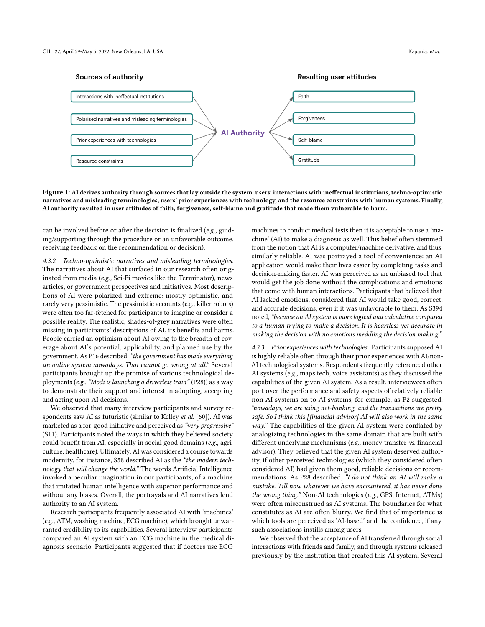

Figure 1: AI derives authority through sources that lay outside the system: users' interactions with ineffectual institutions, techno-optimistic narratives and misleading terminologies, users' prior experiences with technology, and the resource constraints with human systems. Finally, AI authority resulted in user attitudes of faith, forgiveness, self-blame and gratitude that made them vulnerable to harm.

can be involved before or after the decision is finalized (e.g., guiding/supporting through the procedure or an unfavorable outcome, receiving feedback on the recommendation or decision).

4.3.2 Techno-optimistic narratives and misleading terminologies. The narratives about AI that surfaced in our research often originated from media (e.g., Sci-Fi movies like the Terminator), news articles, or government perspectives and initiatives. Most descriptions of AI were polarized and extreme: mostly optimistic, and rarely very pessimistic. The pessimistic accounts (e.g., killer robots) were often too far-fetched for participants to imagine or consider a possible reality. The realistic, shades-of-grey narratives were often missing in participants' descriptions of AI, its benefits and harms. People carried an optimism about AI owing to the breadth of coverage about AI's potential, applicability, and planned use by the government. As P16 described, "the government has made everything an online system nowadays. That cannot go wrong at all." Several participants brought up the promise of various technological deployments (e.g., "Modi is launching a driverless train" (P28)) as a way to demonstrate their support and interest in adopting, accepting and acting upon AI decisions.

We observed that many interview participants and survey respondents saw AI as futuristic (similar to Kelley et al. [\[60\]](#page-15-1)). AI was marketed as a for-good initiative and perceived as "very progressive" (S11). Participants noted the ways in which they believed society could benefit from AI, especially in social good domains (e.g., agriculture, healthcare). Ultimately, AI was considered a course towards modernity, for instance, S58 described AI as the "the modern technology that will change the world." The words Artificial Intelligence invoked a peculiar imagination in our participants, of a machine that imitated human intelligence with superior performance and without any biases. Overall, the portrayals and AI narratives lend authority to an AI system.

Research participants frequently associated AI with 'machines' (e.g., ATM, washing machine, ECG machine), which brought unwarranted credibility to its capabilities. Several interview participants compared an AI system with an ECG machine in the medical diagnosis scenario. Participants suggested that if doctors use ECG

machines to conduct medical tests then it is acceptable to use a 'machine' (AI) to make a diagnosis as well. This belief often stemmed from the notion that AI is a computer/machine derivative, and thus, similarly reliable. AI was portrayed a tool of convenience: an AI application would make their lives easier by completing tasks and decision-making faster. AI was perceived as an unbiased tool that would get the job done without the complications and emotions that come with human interactions. Participants that believed that AI lacked emotions, considered that AI would take good, correct, and accurate decisions, even if it was unfavorable to them. As S394 noted, "because an AI system is more logical and calculative compared to a human trying to make a decision. It is heartless yet accurate in making the decision with no emotions meddling the decision making."

4.3.3 Prior experiences with technologies. Participants supposed AI is highly reliable often through their prior experiences with AI/non-AI technological systems. Respondents frequently referenced other AI systems (e.g., maps tech, voice assistants) as they discussed the capabilities of the given AI system. As a result, interviewees often port over the performance and safety aspects of relatively reliable non-AI systems on to AI systems, for example, as P2 suggested, "nowadays, we are using net-banking, and the transactions are pretty safe. So I think this [financial advisor] AI will also work in the same way." The capabilities of the given AI system were conflated by analogizing technologies in the same domain that are built with different underlying mechanisms (e.g., money transfer vs. financial advisor). They believed that the given AI system deserved authority, if other perceived technologies (which they considered often considered AI) had given them good, reliable decisions or recommendations. As P28 described, "I do not think an AI will make a mistake. Till now whatever we have encountered, it has never done the wrong thing." Non-AI technologies (e.g., GPS, Internet, ATMs) were often misconstrued as AI systems. The boundaries for what constitutes as AI are often blurry. We find that of importance is which tools are perceived as 'AI-based' and the confidence, if any, such associations instills among users.

We observed that the acceptance of AI transferred through social interactions with friends and family, and through systems released previously by the institution that created this AI system. Several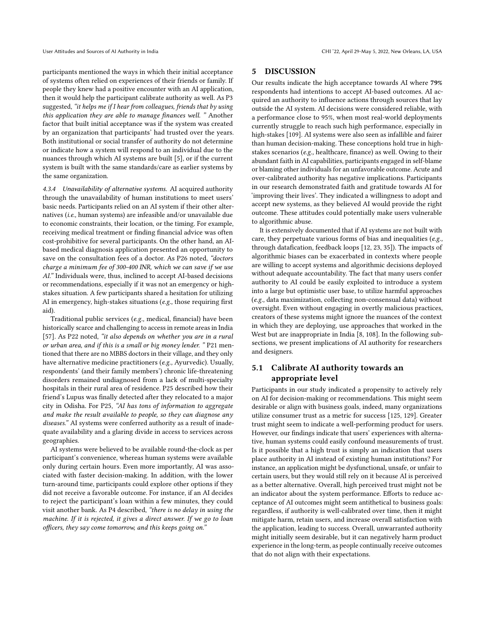participants mentioned the ways in which their initial acceptance of systems often relied on experiences of their friends or family. If people they knew had a positive encounter with an AI application, then it would help the participant calibrate authority as well. As P3 suggested, "it helps me if I hear from colleagues, friends that by using this application they are able to manage finances well. " Another factor that built initial acceptance was if the system was created by an organization that participants' had trusted over the years. Both institutional or social transfer of authority do not determine or indicate how a system will respond to an individual due to the nuances through which AI systems are built [\[5\]](#page-13-2), or if the current system is built with the same standards/care as earlier systems by the same organization.

4.3.4 Unavailability of alternative systems. AI acquired authority through the unavailability of human institutions to meet users' basic needs. Participants relied on an AI system if their other alternatives (i.e., human systems) are infeasible and/or unavailable due to economic constraints, their location, or the timing. For example, receiving medical treatment or finding financial advice was often cost-prohibitive for several participants. On the other hand, an AIbased medical diagnosis application presented an opportunity to save on the consultation fees of a doctor. As P26 noted, "doctors charge a minimum fee of 300-400 INR, which we can save if we use AI." Individuals were, thus, inclined to accept AI-based decisions or recommendations, especially if it was not an emergency or highstakes situation. A few participants shared a hesitation for utilizing AI in emergency, high-stakes situations (e.g., those requiring first aid).

Traditional public services (e.g., medical, financial) have been historically scarce and challenging to access in remote areas in India [\[57\]](#page-14-25). As P22 noted, "it also depends on whether you are in a rural or urban area, and if this is a small or big money lender. " P21 mentioned that there are no MBBS doctors in their village, and they only have alternative medicine practitioners (e.g., Ayurvedic). Usually, respondents' (and their family members') chronic life-threatening disorders remained undiagnosed from a lack of multi-specialty hospitals in their rural area of residence. P25 described how their friend's Lupus was finally detected after they relocated to a major city in Odisha. For P25, "AI has tons of information to aggregate and make the result available to people, so they can diagnose any diseases." AI systems were conferred authority as a result of inadequate availability and a glaring divide in access to services across geographies.

AI systems were believed to be available round-the-clock as per participant's convenience, whereas human systems were available only during certain hours. Even more importantly, AI was associated with faster decision-making. In addition, with the lower turn-around time, participants could explore other options if they did not receive a favorable outcome. For instance, if an AI decides to reject the participant's loan within a few minutes, they could visit another bank. As P4 described, "there is no delay in using the machine. If it is rejected, it gives a direct answer. If we go to loan officers, they say come tomorrow, and this keeps going on."

## 5 DISCUSSION

Our results indicate the high acceptance towards AI where 79% respondents had intentions to accept AI-based outcomes. AI acquired an authority to influence actions through sources that lay outside the AI system. AI decisions were considered reliable, with a performance close to 95%, when most real-world deployments currently struggle to reach such high performance, especially in high-stakes [\[109\]](#page-16-21). AI systems were also seen as infallible and fairer than human decision-making. These conceptions hold true in highstakes scenarios (e.g., healthcare, finance) as well. Owing to their abundant faith in AI capabilities, participants engaged in self-blame or blaming other individuals for an unfavorable outcome. Acute and over-calibrated authority has negative implications. Participants in our research demonstrated faith and gratitude towards AI for 'improving their lives'. They indicated a willingness to adopt and accept new systems, as they believed AI would provide the right outcome. These attitudes could potentially make users vulnerable to algorithmic abuse.

It is extensively documented that if AI systems are not built with care, they perpetuate various forms of bias and inequalities (e.g., through datafication, feedback loops [\[12,](#page-13-14) [23,](#page-14-26) [35\]](#page-14-27)). The impacts of algorithmic biases can be exacerbated in contexts where people are willing to accept systems and algorithmic decisions deployed without adequate accountability. The fact that many users confer authority to AI could be easily exploited to introduce a system into a large but optimistic user base, to utilize harmful approaches (e.g., data maximization, collecting non-consensual data) without oversight. Even without engaging in overtly malicious practices, creators of these systems might ignore the nuances of the context in which they are deploying, use approaches that worked in the West but are inappropriate in India [\[8,](#page-13-15) [108\]](#page-16-22). In the following subsections, we present implications of AI authority for researchers and designers.

# 5.1 Calibrate AI authority towards an appropriate level

Participants in our study indicated a propensity to actively rely on AI for decision-making or recommendations. This might seem desirable or align with business goals, indeed, many organizations utilize consumer trust as a metric for success [\[125,](#page-16-23) [129\]](#page-16-24). Greater trust might seem to indicate a well-performing product for users. However, our findings indicate that users' experiences with alternative, human systems could easily confound measurements of trust. Is it possible that a high trust is simply an indication that users place authority in AI instead of existing human institutions? For instance, an application might be dysfunctional, unsafe, or unfair to certain users, but they would still rely on it because AI is perceived as a better alternative. Overall, high perceived trust might not be an indicator about the system performance. Efforts to reduce acceptance of AI outcomes might seem antithetical to business goals: regardless, if authority is well-calibrated over time, then it might mitigate harm, retain users, and increase overall satisfaction with the application, leading to success. Overall, unwarranted authority might initially seem desirable, but it can negatively harm product experience in the long-term, as people continually receive outcomes that do not align with their expectations.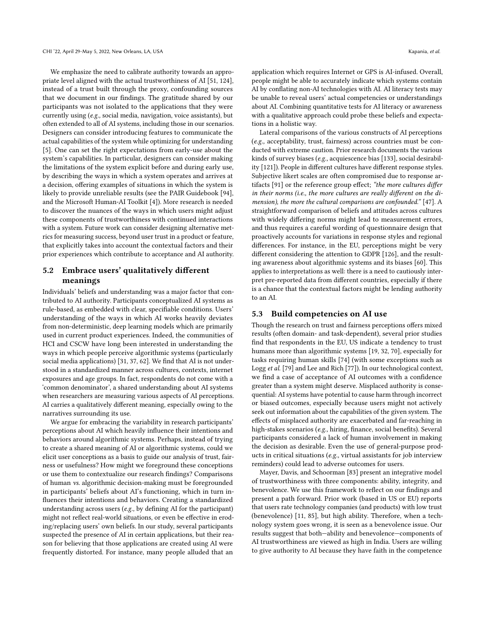We emphasize the need to calibrate authority towards an appropriate level aligned with the actual trustworthiness of AI [\[51,](#page-14-28) [124\]](#page-16-25), instead of a trust built through the proxy, confounding sources that we document in our findings. The gratitude shared by our participants was not isolated to the applications that they were currently using (e.g., social media, navigation, voice assistants), but often extended to all of AI systems, including those in our scenarios. Designers can consider introducing features to communicate the actual capabilities of the system while optimizing for understanding [\[5\]](#page-13-2). One can set the right expectations from early-use about the system's capabilities. In particular, designers can consider making the limitations of the system explicit before and during early use, by describing the ways in which a system operates and arrives at a decision, offering examples of situations in which the system is likely to provide unreliable results (see the PAIR Guidebook [\[94\]](#page-15-33), and the Microsoft Human-AI Toolkit [\[4\]](#page-13-16)). More research is needed to discover the nuances of the ways in which users might adjust these components of trustworthiness with continued interactions with a system. Future work can consider designing alternative metrics for measuring success, beyond user trust in a product or feature, that explicitly takes into account the contextual factors and their prior experiences which contribute to acceptance and AI authority.

## 5.2 Embrace users' qualitatively different meanings

Individuals' beliefs and understanding was a major factor that contributed to AI authority. Participants conceptualized AI systems as rule-based, as embedded with clear, specifiable conditions. Users' understanding of the ways in which AI works heavily deviates from non-deterministic, deep learning models which are primarily used in current product experiences. Indeed, the communities of HCI and CSCW have long been interested in understanding the ways in which people perceive algorithmic systems (particularly social media applications) [\[31,](#page-14-12) [37,](#page-14-29) [62\]](#page-15-34). We find that AI is not understood in a standardized manner across cultures, contexts, internet exposures and age groups. In fact, respondents do not come with a 'common denominator', a shared understanding about AI systems when researchers are measuring various aspects of AI perceptions. AI carries a qualitatively different meaning, especially owing to the narratives surrounding its use.

We argue for embracing the variability in research participants' perceptions about AI which heavily influence their intentions and behaviors around algorithmic systems. Perhaps, instead of trying to create a shared meaning of AI or algorithmic systems, could we elicit user conceptions as a basis to guide our analysis of trust, fairness or usefulness? How might we foreground these conceptions or use them to contextualize our research findings? Comparisons of human vs. algorithmic decision-making must be foregrounded in participants' beliefs about AI's functioning, which in turn influences their intentions and behaviors. Creating a standardized understanding across users (e.g., by defining AI for the participant) might not reflect real-world situations, or even be effective in eroding/replacing users' own beliefs. In our study, several participants suspected the presence of AI in certain applications, but their reason for believing that those applications are created using AI were frequently distorted. For instance, many people alluded that an

application which requires Internet or GPS is AI-infused. Overall, people might be able to accurately indicate which systems contain AI by conflating non-AI technologies with AI. AI literacy tests may be unable to reveal users' actual competencies or understandings about AI. Combining quantitative tests for AI literacy or awareness with a qualitative approach could probe these beliefs and expectations in a holistic way.

Lateral comparisons of the various constructs of AI perceptions (e.g., acceptability, trust, fairness) across countries must be conducted with extreme caution. Prior research documents the various kinds of survey biases (e.g., acquiescence bias [\[133\]](#page-16-26), social desirability [\[121\]](#page-16-27)). People in different cultures have different response styles. Subjective likert scales are often compromised due to response artifacts [\[91\]](#page-15-35) or the reference group effect; "the more cultures differ in their norms (i.e., the more cultures are really different on the dimension), the more the cultural comparisons are confounded." [\[47\]](#page-14-30). A straightforward comparison of beliefs and attitudes across cultures with widely differing norms might lead to measurement errors, and thus requires a careful wording of questionnaire design that proactively accounts for variations in response styles and regional differences. For instance, in the EU, perceptions might be very different considering the attention to GDPR [\[126\]](#page-16-28), and the resulting awareness about algorithmic systems and its biases [\[60\]](#page-15-1). This applies to interpretations as well: there is a need to cautiously interpret pre-reported data from different countries, especially if there is a chance that the contextual factors might be lending authority to an AI.

#### 5.3 Build competencies on AI use

Though the research on trust and fairness perceptions offers mixed results (often domain- and task-dependent), several prior studies find that respondents in the EU, US indicate a tendency to trust humans more than algorithmic systems [\[19,](#page-13-0) [32,](#page-14-6) [70\]](#page-15-36), especially for tasks requiring human skills [\[74\]](#page-15-2) (with some exceptions such as Logg et al. [\[79\]](#page-15-16) and Lee and Rich [\[77\]](#page-15-32)). In our technological context, we find a case of acceptance of AI outcomes with a confidence greater than a system might deserve. Misplaced authority is consequential: AI systems have potential to cause harm through incorrect or biased outcomes, especially because users might not actively seek out information about the capabilities of the given system. The effects of misplaced authority are exacerbated and far-reaching in high-stakes scenarios (e.g., hiring, finance, social benefits). Several participants considered a lack of human involvement in making the decision as desirable. Even the use of general-purpose products in critical situations (e.g., virtual assistants for job interview reminders) could lead to adverse outcomes for users.

Mayer, Davis, and Schoorman [\[83\]](#page-15-14) present an integrative model of trustworthiness with three components: ability, integrity, and benevolence. We use this framework to reflect on our findings and present a path forward. Prior work (based in US or EU) reports that users rate technology companies (and products) with low trust (benevolence) [\[11,](#page-13-17) [85\]](#page-15-37), but high ability. Therefore, when a technology system goes wrong, it is seen as a benevolence issue. Our results suggest that both—ability and benevolence—components of AI trustworthiness are viewed as high in India. Users are willing to give authority to AI because they have faith in the competence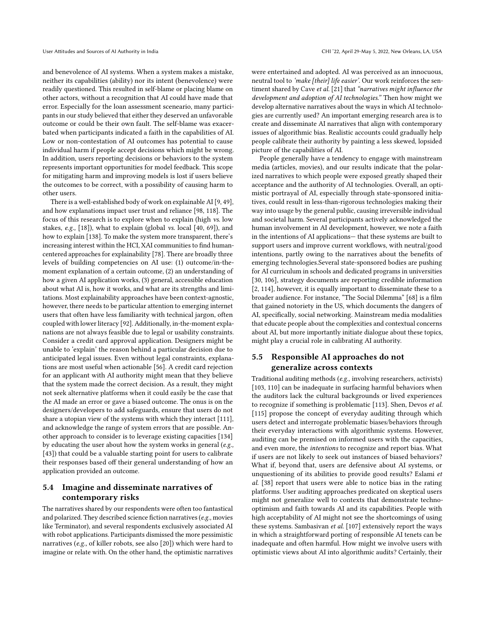and benevolence of AI systems. When a system makes a mistake, neither its capabilities (ability) nor its intent (benevolence) were readily questioned. This resulted in self-blame or placing blame on other actors, without a recognition that AI could have made that error. Especially for the loan assessment sceneario, many participants in our study believed that either they deserved an unfavorable outcome or could be their own fault. The self-blame was exacerbated when participants indicated a faith in the capabilities of AI. Low or non-contestation of AI outcomes has potential to cause individual harm if people accept decisions which might be wrong. In addition, users reporting decisions or behaviors to the system represents important opportunities for model feedback. This scope for mitigating harm and improving models is lost if users believe the outcomes to be correct, with a possibility of causing harm to other users.

There is a well-established body of work on explainable AI [\[9,](#page-13-18) [49\]](#page-14-31), and how explanations impact user trust and reliance [\[98,](#page-15-38) [118\]](#page-16-29). The focus of this research is to explore when to explain (high vs. low stakes, e.g., [\[18\]](#page-13-19)), what to explain (global vs. local [\[40,](#page-14-32) [69\]](#page-15-39)), and how to explain [\[138\]](#page-16-30). To make the system more transparent, there's increasing interest within the HCI, XAI communities to find humancentered approaches for explainability [\[78\]](#page-15-40). There are broadly three levels of building competencies on AI use: (1) outcome/in-themoment explanation of a certain outcome, (2) an understanding of how a given AI application works, (3) general, accessible education about what AI is, how it works, and what are its strengths and limitations. Most explainability approaches have been context-agnostic, however, there needs to be particular attention to emerging internet users that often have less familiarity with technical jargon, often coupled with lower literacy [\[92\]](#page-15-24). Additionally, in-the-moment explanations are not always feasible due to legal or usability constraints. Consider a credit card approval application. Designers might be unable to 'explain' the reason behind a particular decision due to anticipated legal issues. Even without legal constraints, explanations are most useful when actionable [\[56\]](#page-14-33). A credit card rejection for an applicant with AI authority might mean that they believe that the system made the correct decision. As a result, they might not seek alternative platforms when it could easily be the case that the AI made an error or gave a biased outcome. The onus is on the designers/developers to add safeguards, ensure that users do not share a utopian view of the systems with which they interact [\[111\]](#page-16-7), and acknowledge the range of system errors that are possible. Another approach to consider is to leverage existing capacities [\[134\]](#page-16-31) by educating the user about how the system works in general (e.g., [\[43\]](#page-14-34)) that could be a valuable starting point for users to calibrate their responses based off their general understanding of how an application provided an outcome.

# 5.4 Imagine and disseminate narratives of contemporary risks

The narratives shared by our respondents were often too fantastical and polarized. They described science fiction narratives (e.g., movies like Terminator), and several respondents exclusively associated AI with robot applications. Participants dismissed the more pessimistic narratives (e.g., of killer robots, see also [\[20\]](#page-13-4)) which were hard to imagine or relate with. On the other hand, the optimistic narratives were entertained and adopted. AI was perceived as an innocuous, neutral tool to 'make [their] life easier'. Our work reinforces the sentiment shared by Cave et al. [\[21\]](#page-14-35) that "narratives might influence the development and adoption of AI technologies." Then how might we develop alternative narratives about the ways in which AI technologies are currently used? An important emerging research area is to create and disseminate AI narratives that align with contemporary issues of algorithmic bias. Realistic accounts could gradually help people calibrate their authority by painting a less skewed, lopsided picture of the capabilities of AI.

People generally have a tendency to engage with mainstream media (articles, movies), and our results indicate that the polarized narratives to which people were exposed greatly shaped their acceptance and the authority of AI technologies. Overall, an optimistic portrayal of AI, especially through state-sponsored initiatives, could result in less-than-rigorous technologies making their way into usage by the general public, causing irreversible individual and societal harm. Several participants actively acknowledged the human involvement in AI development, however, we note a faith in the intentions of AI applications— that these systems are built to support users and improve current workflows, with neutral/good intentions, partly owing to the narratives about the benefits of emerging technologies.Several state-sponsored bodies are pushing for AI curriculum in schools and dedicated programs in universities [\[30,](#page-14-36) [106\]](#page-16-32), strategy documents are reporting credible information [\[2,](#page-13-12) [114\]](#page-16-33), however, it is equally important to disseminate these to a broader audience. For instance, "The Social Dilemma" [\[68\]](#page-15-41) is a film that gained notoriety in the US, which documents the dangers of AI, specifically, social networking. Mainstream media modalities that educate people about the complexities and contextual concerns about AI, but more importantly initiate dialogue about these topics, might play a crucial role in calibrating AI authority.

# 5.5 Responsible AI approaches do not generalize across contexts

Traditional auditing methods (e.g., involving researchers, activists) [\[103,](#page-16-34) [110\]](#page-16-35) can be inadequate in surfacing harmful behaviors when the auditors lack the cultural backgrounds or lived experiences to recognize if something is problematic [\[113\]](#page-16-36). Shen, Devos et al. [\[115\]](#page-16-37) propose the concept of everyday auditing through which users detect and interrogate problematic biases/behaviors through their everyday interactions with algorithmic systems. However, auditing can be premised on informed users with the capacities, and even more, the intentions to recognize and report bias. What if users are not likely to seek out instances of biased behaviors? What if, beyond that, users are defensive about AI systems, or unquestioning of its abilities to provide good results? Eslami et al. [\[38\]](#page-14-17) report that users were able to notice bias in the rating platforms. User auditing approaches predicated on skeptical users might not generalize well to contexts that demonstrate technooptimism and faith towards AI and its capabilities. People with high acceptability of AI might not see the shortcomings of using these systems. Sambasivan et al. [\[107\]](#page-16-5) extensively report the ways in which a straightforward porting of responsible AI tenets can be inadequate and often harmful. How might we involve users with optimistic views about AI into algorithmic audits? Certainly, their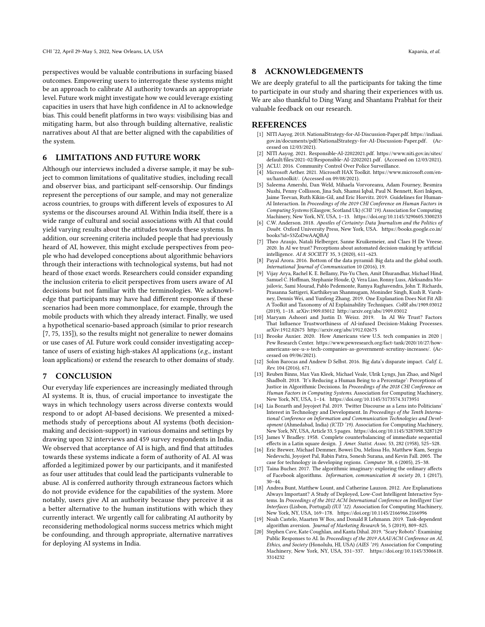perspectives would be valuable contributions in surfacing biased outcomes. Empowering users to interrogate these systems might be an approach to calibrate AI authority towards an appropriate level. Future work might investigate how we could leverage existing capacities in users that have high confidence in AI to acknowledge bias. This could benefit platforms in two ways: visibilising bias and mitigating harm, but also through building alternative, realistic narratives about AI that are better aligned with the capabilities of the system.

## 6 LIMITATIONS AND FUTURE WORK

Although our interviews included a diverse sample, it may be subject to common limitations of qualitative studies, including recall and observer bias, and participant self-censorship. Our findings represent the perceptions of our sample, and may not generalize across countries, to groups with different levels of exposures to AI systems or the discourses around AI. Within India itself, there is a wide range of cultural and social associations with AI that could yield varying results about the attitudes towards these systems. In addition, our screening criteria included people that had previously heard of AI, however, this might exclude perspectives from people who had developed conceptions about algorithmic behaviors through their interactions with technological systems, but had not heard of those exact words. Researchers could consider expanding the inclusion criteria to elicit perspectives from users aware of AI decisions but not familiar with the terminologies. We acknowledge that participants may have had different responses if these scenarios had been more commonplace, for example, through the mobile products with which they already interact. Finally, we used a hypothetical scenario-based approach (similar to prior research [\[7,](#page-13-5) [75,](#page-15-22) [135\]](#page-16-38)), so the results might not generalize to newer domains or use cases of AI. Future work could consider investigating acceptance of users of existing high-stakes AI applications (e.g., instant loan applications) or extend the research to other domains of study.

#### 7 CONCLUSION

Our everyday life experiences are increasingly mediated through AI systems. It is, thus, of crucial importance to investigate the ways in which technology users across diverse contexts would respond to or adopt AI-based decisions. We presented a mixedmethods study of perceptions about AI systems (both decisionmaking and decision-support) in various domains and settings by drawing upon 32 interviews and 459 survey respondents in India. We observed that acceptance of AI is high, and find that attitudes towards these systems indicate a form of authority of AI. AI was afforded a legitimized power by our participants, and it manifested as four user attitudes that could lead the participants vulnerable to abuse. AI is conferred authority through extraneous factors which do not provide evidence for the capabilities of the system. More notably, users give AI an authority because they perceive it as a better alternative to the human institutions with which they currently interact. We urgently call for calibrating AI authority by reconsidering methodological norms success metrics which might be confounding, and through appropriate, alternative narratives for deploying AI systems in India.

#### 8 ACKNOWLEDGEMENTS

We are deeply grateful to all the participants for taking the time to participate in our study and sharing their experiences with us. We are also thankful to Ding Wang and Shantanu Prabhat for their valuable feedback on our research.

#### **REFERENCES**

- <span id="page-13-11"></span>[1] NITI Aayog. 2018. NationalStrategy-for-AI-Discussion-Paper.pdf. [https://indiaai.](https://indiaai.gov.in/documents/pdf/NationalStrategy-for-AI-Discussion-Paper.pdf) [gov.in/documents/pdf/NationalStrategy-for-AI-Discussion-Paper.pdf.](https://indiaai.gov.in/documents/pdf/NationalStrategy-for-AI-Discussion-Paper.pdf) (Accessed on 12/03/2021).
- <span id="page-13-12"></span>[2] NITI Aayog. 2021. Responsible-AI-22022021.pdf. [https://www.niti.gov.in/sites/](https://www.niti.gov.in/sites/default/files/2021-02/Responsible-AI-22022021.pdf) [default/files/2021-02/Responsible-AI-22022021.pdf.](https://www.niti.gov.in/sites/default/files/2021-02/Responsible-AI-22022021.pdf) (Accessed on 12/03/2021). ACLU. 2016. Community Control Over Police Surveillance.
- <span id="page-13-16"></span><span id="page-13-8"></span>[4] Microsoft Aether. 2021. Microsoft HAX Toolkit. [https://www.microsoft.com/en](https://www.microsoft.com/en-us/haxtoolkit/)[us/haxtoolkit/.](https://www.microsoft.com/en-us/haxtoolkit/) (Accessed on 09/08/2021).
- <span id="page-13-2"></span>[5] Saleema Amershi, Dan Weld, Mihaela Vorvoreanu, Adam Fourney, Besmira Nushi, Penny Collisson, Jina Suh, Shamsi Iqbal, Paul N. Bennett, Kori Inkpen, Jaime Teevan, Ruth Kikin-Gil, and Eric Horvitz. 2019. Guidelines for Human-AI Interaction. In Proceedings of the 2019 CHI Conference on Human Factors in Computing Systems (Glasgow, Scotland Uk) (CHI '19). Association for Computing Machinery, New York, NY, USA, 1–13.<https://doi.org/10.1145/3290605.3300233>
- <span id="page-13-13"></span>[6] C.W. Anderson. 2018. Apostles of Certainty: Data Journalism and the Politics of Doubt. Oxford University Press, New York, USA. [https://books.google.co.in/](https://books.google.co.in/books?id=53ZoDwAAQBAJ) [books?id=53ZoDwAAQBAJ](https://books.google.co.in/books?id=53ZoDwAAQBAJ)
- <span id="page-13-5"></span>[7] Theo Araujo, Natali Helberger, Sanne Kruikemeier, and Claes H De Vreese. 2020. In AI we trust? Perceptions about automated decision-making by artificial intelligence. AI & SOCIETY 35, 3 (2020), 611–623.
- <span id="page-13-15"></span>[8] Payal Arora. 2016. Bottom of the data pyramid: Big data and the global south. International Journal of Communication 10 (2016), 19.
- <span id="page-13-18"></span>[9] Vijay Arya, Rachel K. E. Bellamy, Pin-Yu Chen, Amit Dhurandhar, Michael Hind, Samuel C. Hoffman, Stephanie Houde, Q. Vera Liao, Ronny Luss, Aleksandra Mojsilovic, Sami Mourad, Pablo Pedemonte, Ramya Raghavendra, John T. Richards, Prasanna Sattigeri, Karthikeyan Shanmugam, Moninder Singh, Kush R. Varshney, Dennis Wei, and Yunfeng Zhang. 2019. One Explanation Does Not Fit All: A Toolkit and Taxonomy of AI Explainability Techniques. CoRR abs/1909.03012 (2019), 1–18. arXiv[:1909.03012](https://arxiv.org/abs/1909.03012)<http://arxiv.org/abs/1909.03012>
- <span id="page-13-6"></span>[10] Maryam Ashoori and Justin D. Weisz. 2019. In AI We Trust? Factors That Influence Trustworthiness of AI-infused Decision-Making Processes. arXiv[:1912.02675](https://arxiv.org/abs/1912.02675)<http://arxiv.org/abs/1912.02675>
- <span id="page-13-17"></span>[11] Brooke Auxier. 2020. How Americans view U.S. tech companies in 2020 | Pew Research Center. [https://www.pewresearch.org/fact-tank/2020/10/27/how](https://www.pewresearch.org/fact-tank/2020/10/27/how-americans-see-u-s-tech-companies-as-government-scrutiny-increases/)[americans-see-u-s-tech-companies-as-government-scrutiny-increases/.](https://www.pewresearch.org/fact-tank/2020/10/27/how-americans-see-u-s-tech-companies-as-government-scrutiny-increases/) (Accessed on 09/06/2021).
- <span id="page-13-14"></span>[12] Solon Barocas and Andrew D Selbst. 2016. Big data's disparate impact. Calif. L. Rev. 104 (2016), 671.
- <span id="page-13-3"></span>[13] Reuben Binns, Max Van Kleek, Michael Veale, Ulrik Lyngs, Jun Zhao, and Nigel Shadbolt. 2018. 'It's Reducing a Human Being to a Percentage': Perceptions of Justice in Algorithmic Decisions. In Proceedings of the 2018 CHI Conference on Human Factors in Computing Systems. Association for Computing Machinery, New York, NY, USA, 1–14.<https://doi.org/10.1145/3173574.3173951>
- <span id="page-13-1"></span>[14] Lia Bozarth and Joyojeet Pal. 2019. Twitter Discourse as a Lens into Politicians' Interest in Technology and Development. In Proceedings of the Tenth International Conference on Information and Communication Technologies and Development (Ahmedabad, India) (ICTD '19). Association for Computing Machinery, New York, NY, USA, Article 33, 5 pages.<https://doi.org/10.1145/3287098.3287129>
- <span id="page-13-10"></span>[15] James V Bradley. 1958. Complete counterbalancing of immediate sequential effects in a Latin square design. J. Amer. Statist. Assoc. 53, 282 (1958), 525-528.
- <span id="page-13-9"></span>[16] Eric Brewer, Michael Demmer, Bowei Du, Melissa Ho, Matthew Kam, Sergiu Nedevschi, Joyojeet Pal, Rabin Patra, Sonesh Surana, and Kevin Fall. 2005. The case for technology in developing regions. Computer 38, 6 (2005), 25–38.
- <span id="page-13-7"></span>[17] Taina Bucher. 2017. The algorithmic imaginary: exploring the ordinary affects of Facebook algorithms. *Information, communication & society* 20, 1 (2017), 30–44.
- <span id="page-13-19"></span>[18] Andrea Bunt, Matthew Lount, and Catherine Lauzon. 2012. Are Explanations Always Important? A Study of Deployed, Low-Cost Intelligent Interactive Systems. In Proceedings of the 2012 ACM International Conference on Intelligent User Interfaces (Lisbon, Portugal) (IUI '12). Association for Computing Machinery, New York, NY, USA, 169–178.<https://doi.org/10.1145/2166966.2166996>
- <span id="page-13-0"></span>[19] Noah Castelo, Maarten W Bos, and Donald R Lehmann. 2019. Task-dependent algorithm aversion. Journal of Marketing Research 56, 5 (2019), 809–825.
- <span id="page-13-4"></span>[20] Stephen Cave, Kate Coughlan, and Kanta Dihal. 2019. "Scary Robots": Examining Public Responses to AI. In Proceedings of the 2019 AAAI/ACM Conference on AI, Ethics, and Society (Honolulu, HI, USA) (AIES '19). Association for Computing Machinery, New York, NY, USA, 331–337. [https://doi.org/10.1145/3306618.](https://doi.org/10.1145/3306618.3314232) [3314232](https://doi.org/10.1145/3306618.3314232)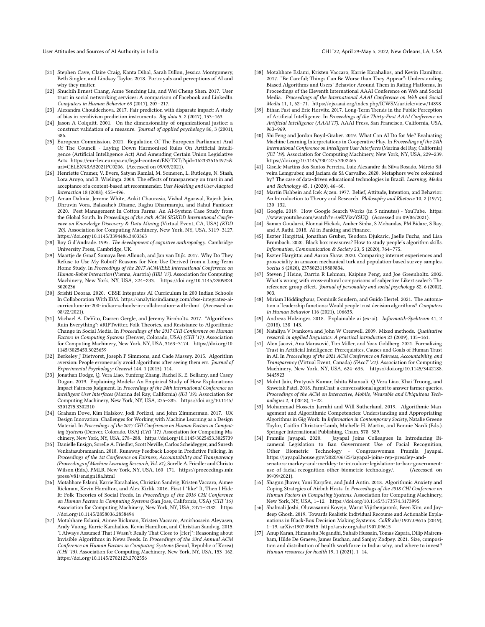- <span id="page-14-35"></span>[21] Stephen Cave, Claire Craig, Kanta Dihal, Sarah Dillon, Jessica Montgomery, Beth Singler, and Lindsay Taylor. 2018. Portrayals and perceptions of AI and why they matter.
- <span id="page-14-1"></span>[22] Shuchih Ernest Chang, Anne Yenching Liu, and Wei Cheng Shen. 2017. User trust in social networking services: A comparison of Facebook and LinkedIn. Computers in Human Behavior 69 (2017), 207–217.
- <span id="page-14-26"></span>[23] Alexandra Chouldechova. 2017. Fair prediction with disparate impact: A study of bias in recidivism prediction instruments. Big data 5, 2 (2017), 153–163.
- <span id="page-14-24"></span>[24] Jason A Colquitt. 2001. On the dimensionality of organizational justice: a construct validation of a measure. Journal of applied psychology 86, 3 (2001), 386.
- <span id="page-14-19"></span>[25] European Commission. 2021. Regulation Of The European Parliament And Of The Council - Laying Down Harmonised Rules On Artificial Intelligence (Artificial Intelligence Act) And Amending Certain Union Legislative Acts. [https://eur-lex.europa.eu/legal-content/EN/TXT/?qid=1623335154975&](https://eur-lex.europa.eu/legal-content/EN/TXT/?qid=1623335154975&uri=CELEX%3A52021PC0206) [uri=CELEX%3A52021PC0206.](https://eur-lex.europa.eu/legal-content/EN/TXT/?qid=1623335154975&uri=CELEX%3A52021PC0206) (Accessed on 09/09/2021).
- <span id="page-14-0"></span>[26] Henriette Cramer, V. Evers, Satyan Ramlal, M. Someren, L. Rutledge, N. Stash, Lora Aroyo, and B. Wielinga. 2008. The effects of transparency on trust in and acceptance of a content-based art recommender. User Modeling and User-Adapted Interaction 18 (2008), 455–496.
- <span id="page-14-2"></span>[27] Aman Dalmia, Jerome White, Ankit Chaurasia, Vishal Agarwal, Rajesh Jain, Dhruvin Vora, Balasaheb Dhame, Raghu Dharmaraju, and Rahul Panicker. 2020. Pest Management In Cotton Farms: An AI-System Case Study from the Global South. In Proceedings of the 26th ACM SIGKDD International Conference on Knowledge Discovery & Data Mining (Virtual Event, CA, USA) (KDD '20). Association for Computing Machinery, New York, NY, USA, 3119–3127. <https://doi.org/10.1145/3394486.3403363>
- <span id="page-14-11"></span>[28] Roy G d'Andrade. 1995. The development of cognitive anthropology. Cambridge University Press, Cambridge, UK.
- <span id="page-14-3"></span>[29] Maartje de Graaf, Somaya Ben Allouch, and Jan van Dijk. 2017. Why Do They Refuse to Use My Robot? Reasons for Non-Use Derived from a Long-Term Home Study. In Proceedings of the 2017 ACM/IEEE International Conference on Human-Robot Interaction (Vienna, Austria) (HRI '17). Association for Computing Machinery, New York, NY, USA, 224–233. [https://doi.org/10.1145/2909824.](https://doi.org/10.1145/2909824.3020236) [3020236](https://doi.org/10.1145/2909824.3020236)
- <span id="page-14-36"></span>[30] Srishti Deoras. 2020. CBSE Integrates AI Curriculum In 200 Indian Schools In Collaboration With IBM. [https://analyticsindiamag.com/cbse-integrates-ai](https://analyticsindiamag.com/cbse-integrates-ai-curriculum-in-200-indian-schools-in-collaboration-with-ibm/)[curriculum-in-200-indian-schools-in-collaboration-with-ibm/.](https://analyticsindiamag.com/cbse-integrates-ai-curriculum-in-200-indian-schools-in-collaboration-with-ibm/) (Accessed on 08/22/2021).
- <span id="page-14-12"></span>[31] Michael A. DeVito, Darren Gergle, and Jeremy Birnholtz. 2017. "Algorithms Ruin Everything": #RIPTwitter, Folk Theories, and Resistance to Algorithmic Change in Social Media. In Proceedings of the 2017 CHI Conference on Human Factors in Computing Systems (Denver, Colorado, USA) (CHI '17). Association for Computing Machinery, New York, NY, USA, 3163–3174. [https://doi.org/10.](https://doi.org/10.1145/3025453.3025659) [1145/3025453.3025659](https://doi.org/10.1145/3025453.3025659)
- <span id="page-14-6"></span>[32] Berkeley J Dietvorst, Joseph P Simmons, and Cade Massey. 2015. Algorithm aversion: People erroneously avoid algorithms after seeing them err. Journal of Experimental Psychology: General 144, 1 (2015), 114.
- <span id="page-14-22"></span>[33] Jonathan Dodge, Q. Vera Liao, Yunfeng Zhang, Rachel K. E. Bellamy, and Casey Dugan. 2019. Explaining Models: An Empirical Study of How Explanations Impact Fairness Judgment. In Proceedings of the 24th International Conference on Intelligent User Interfaces (Marina del Ray, California) (IUI '19). Association for Computing Machinery, New York, NY, USA, 275–285. [https://doi.org/10.1145/](https://doi.org/10.1145/3301275.3302310) [3301275.3302310](https://doi.org/10.1145/3301275.3302310)
- <span id="page-14-4"></span>[34] Graham Dove, Kim Halskov, Jodi Forlizzi, and John Zimmerman. 2017. UX Design Innovation: Challenges for Working with Machine Learning as a Design Material. In Proceedings of the 2017 CHI Conference on Human Factors in Computing Systems (Denver, Colorado, USA) (CHI '17). Association for Computing Machinery, New York, NY, USA, 278–288.<https://doi.org/10.1145/3025453.3025739>
- <span id="page-14-27"></span>[35] Danielle Ensign, Sorelle A. Friedler, Scott Neville, Carlos Scheidegger, and Suresh Venkatasubramanian. 2018. Runaway Feedback Loops in Predictive Policing. In Proceedings of the 1st Conference on Fairness, Accountability and Transparency (Proceedings of Machine Learning Research, Vol. 81), Sorelle A. Friedler and Christo Wilson (Eds.). PMLR, New York, NY, USA, 160–171. [https://proceedings.mlr.](https://proceedings.mlr.press/v81/ensign18a.html) [press/v81/ensign18a.html](https://proceedings.mlr.press/v81/ensign18a.html)
- <span id="page-14-14"></span>[36] Motahhare Eslami, Karrie Karahalios, Christian Sandvig, Kristen Vaccaro, Aimee Rickman, Kevin Hamilton, and Alex Kirlik. 2016. First I "like" It, Then I Hide It: Folk Theories of Social Feeds. In Proceedings of the 2016 CHI Conference on Human Factors in Computing Systems (San Jose, California, USA) (CHI '16). Association for Computing Machinery, New York, NY, USA, 2371–2382. [https:](https://doi.org/10.1145/2858036.2858494) [//doi.org/10.1145/2858036.2858494](https://doi.org/10.1145/2858036.2858494)
- <span id="page-14-29"></span>[37] Motahhare Eslami, Aimee Rickman, Kristen Vaccaro, Amirhossein Aleyasen, Andy Vuong, Karrie Karahalios, Kevin Hamilton, and Christian Sandvig. 2015. "I Always Assumed That I Wasn't Really That Close to [Her]": Reasoning about Invisible Algorithms in News Feeds. In Proceedings of the 33rd Annual ACM Conference on Human Factors in Computing Systems (Seoul, Republic of Korea) (CHI '15). Association for Computing Machinery, New York, NY, USA, 153–162. <https://doi.org/10.1145/2702123.2702556>
- <span id="page-14-17"></span>[38] Motahhare Eslami, Kristen Vaccaro, Karrie Karahalios, and Kevin Hamilton. 2017. "Be Careful; Things Can Be Worse than They Appear": Understanding Biased Algorithms and Users' Behavior Around Them in Rating Platforms, In Proceedings of the Eleventh International AAAI Conference on Web and Social Media. Proceedings of the International AAAI Conference on Web and Social Media 11, 1, 62–71.<https://ojs.aaai.org/index.php/ICWSM/article/view/14898>
- <span id="page-14-7"></span>[39] Ethan Fast and Eric Horvitz. 2017. Long-Term Trends in the Public Perception of Artificial Intelligence. In Proceedings of the Thirty-First AAAI Conference on Artificial Intelligence (AAAI'17). AAAI Press, San Francisco, California, USA, 963–969.
- <span id="page-14-32"></span>[40] Shi Feng and Jordan Boyd-Graber. 2019. What Can AI Do for Me? Evaluating Machine Learning Interpretations in Cooperative Play. In Proceedings of the 24th International Conference on Intelligent User Interfaces (Marina del Ray, California) (IUI '19). Association for Computing Machinery, New York, NY, USA, 229–239. <https://doi.org/10.1145/3301275.3302265>
- <span id="page-14-10"></span>[41] Giselle Martins dos Santos Ferreira, Luiz Alexandre da Silva Rosado, Márcio Silveira Lemgruber, and Jaciara de Sá Carvalho. 2020. Metaphors we're colonised by? The case of data-driven educational technologies in Brazil. Learning, Media and Technology 45, 1 (2020), 46–60.
- <span id="page-14-5"></span>[42] Martin Fishbein and Icek Ajzen. 1977. Belief, Attitude, Intention, and Behavior: An Introduction to Theory and Research. Philosophy and Rhetoric 10, 2 (1977), 130–132.
- <span id="page-14-34"></span>[43] Google. 2019. How Google Search Works (in 5 minutes) - YouTube. [https:](https://www.youtube.com/watch?v=0eKVizvYSUQ) [//www.youtube.com/watch?v=0eKVizvYSUQ.](https://www.youtube.com/watch?v=0eKVizvYSUQ) (Accessed on 09/06/2021).
- <span id="page-14-23"></span>[44] Saman Goudarzi, Elonnai Hickok, Amber Sinha, S Mohandas, PM Bidare, S Ray, and A Rathi. 2018. AI in Banking and Finance.
- <span id="page-14-13"></span>[45] Eszter Hargittai, Jonathan Gruber, Teodora Djukaric, Jaelle Fuchs, and Lisa Brombach. 2020. Black box measures? How to study people's algorithm skills. Information, Communication & Society 23, 5 (2020), 764–775.
- <span id="page-14-18"></span>[46] Eszter Hargittai and Aaron Shaw. 2020. Comparing internet experiences and prosociality in amazon mechanical turk and population-based survey samples. <sub>.</sub><br>Socius 6 (2020), 2378023119889834.
- <span id="page-14-30"></span>[47] Steven J Heine, Darrin R Lehman, Kaiping Peng, and Joe Greenholtz. 2002. What's wrong with cross-cultural comparisons of subjective Likert scales?: The reference-group effect. Journal of personality and social psychology 82, 6 (2002), 903.
- <span id="page-14-8"></span>[48] Miriam Höddinghaus, Dominik Sondern, and Guido Hertel, 2021. The automation of leadership functions: Would people trust decision algorithms? Computers in Human Behavior 116 (2021), 106635.
- <span id="page-14-31"></span>[49] Andreas Holzinger. 2018. Explainable ai (ex-ai). Informatik-Spektrum 41, 2 (2018), 138–143.
- <span id="page-14-21"></span>[50] Nataliya V Ivankova and John W Creswell. 2009. Mixed methods. Qualitative research in applied linguistics: A practical introduction 23 (2009), 135–161.
- <span id="page-14-28"></span>[51] Alon Jacovi, Ana Marasović, Tim Miller, and Yoav Goldberg. 2021. Formalizing Trust in Artificial Intelligence: Prerequisites, Causes and Goals of Human Trust in AI. In Proceedings of the 2021 ACM Conference on Fairness, Accountability, and Transparency (Virtual Event, Canada) (FAccT '21). Association for Computing Machinery, New York, NY, USA, 624–635. [https://doi.org/10.1145/3442188.](https://doi.org/10.1145/3442188.3445923) [3445923](https://doi.org/10.1145/3442188.3445923)
- <span id="page-14-9"></span>[52] Mohit Jain, Pratyush Kumar, Ishita Bhansali, Q Vera Liao, Khai Truong, and Shwetak Patel. 2018. FarmChat: a conversational agent to answer farmer queries. Proceedings of the ACM on Interactive, Mobile, Wearable and Ubiquitous Technologies 2, 4 (2018), 1–22.
- <span id="page-14-15"></span>[53] Mohammad Hossein Jarrahi and Will Sutherland. 2019. Algorithmic Management and Algorithmic Competencies: Understanding and Appropriating Algorithms in Gig Work. In Information in Contemporary Society, Natalie Greene Taylor, Caitlin Christian-Lamb, Michelle H. Martin, and Bonnie Nardi (Eds.). Springer International Publishing, Cham, 578–589.
- <span id="page-14-20"></span>Jayapal Joins Colleagues In Introducing Bicameral Legislation to Ban Government Use of Facial Recognition, Other Biometric Technology - Congresswoman Pramila Jayapal. [https://jayapal.house.gov/2020/06/25/jayapal-joins-rep-pressley-and](https://jayapal.house.gov/2020/06/25/jayapal-joins-rep-pressley-and-senators-markey-and-merkley-to-introduce-legislation-to-ban-government-use-of-facial-recognition-other-biometric-technology/)[senators-markey-and-merkley-to-introduce-legislation-to-ban-government](https://jayapal.house.gov/2020/06/25/jayapal-joins-rep-pressley-and-senators-markey-and-merkley-to-introduce-legislation-to-ban-government-use-of-facial-recognition-other-biometric-technology/)[use-of-facial-recognition-other-biometric-technology/.](https://jayapal.house.gov/2020/06/25/jayapal-joins-rep-pressley-and-senators-markey-and-merkley-to-introduce-legislation-to-ban-government-use-of-facial-recognition-other-biometric-technology/) 09/09/2021).
- <span id="page-14-16"></span>[55] Shagun Jhaver, Yoni Karpfen, and Judd Antin. 2018. Algorithmic Anxiety and Coping Strategies of Airbnb Hosts. In Proceedings of the 2018 CHI Conference on Human Factors in Computing Systems. Association for Computing Machinery, New York, NY, USA, 1–12.<https://doi.org/10.1145/3173574.3173995>
- <span id="page-14-33"></span>[56] Shalmali Joshi, Oluwasanmi Koyejo, Warut Vijitbenjaronk, Been Kim, and Joydeep Ghosh. 2019. Towards Realistic Individual Recourse and Actionable Explanations in Black-Box Decision Making Systems. CoRR abs/1907.09615 (2019), 1–19. arXiv[:1907.09615](https://arxiv.org/abs/1907.09615)<http://arxiv.org/abs/1907.09615>
- <span id="page-14-25"></span>[57] Anup Karan, Himanshu Negandhi, Suhaib Hussain, Tomas Zapata, Dilip Mairembam, Hilde De Graeve, James Buchan, and Sanjay Zodpey. 2021. Size, composition and distribution of health workforce in India: why, and where to invest? Human resources for health 19, 1 (2021), 1–14.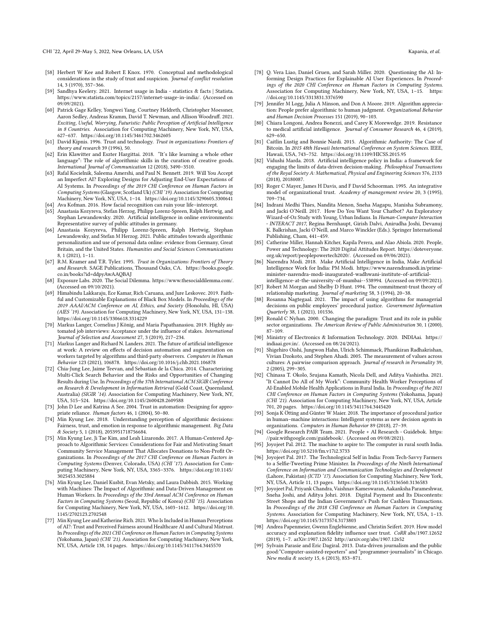- <span id="page-15-13"></span>[58] Herbert W Kee and Robert E Knox. 1970. Conceptual and methodological considerations in the study of trust and suspicion. Journal of conflict resolution 14, 3 (1970), 357–366.
- <span id="page-15-6"></span>[59] Sandhya Keelery. 2021. Internet usage in India - statistics & facts | Statista. [https://www.statista.com/topics/2157/internet-usage-in-india/.](https://www.statista.com/topics/2157/internet-usage-in-india/) (Accessed on 09/09/2021).
- <span id="page-15-1"></span>[60] Patrick Gage Kelley, Yongwei Yang, Courtney Heldreth, Christopher Moessner, Aaron Sedley, Andreas Kramm, David T. Newman, and Allison Woodruff. 2021. Exciting, Useful, Worrying, Futuristic: Public Perception of Artificial Intelligence in 8 Countries. Association for Computing Machinery, New York, NY, USA, 627–637.<https://doi.org/10.1145/3461702.3462605>
- <span id="page-15-12"></span>[61] David Kipnis. 1996. Trust and technology. Trust in organizations: Frontiers of theory and research 39 (1996), 50.
- <span id="page-15-34"></span>[62] Erin Klawitter and Eszter Hargittai. 2018. "It's like learning a whole other language": The role of algorithmic skills in the curation of creative goods. International Journal of Communication 12 (2018), 3490–3510.
- <span id="page-15-17"></span>[63] Rafal Kocielnik, Saleema Amershi, and Paul N. Bennett. 2019. Will You Accept an Imperfect AI? Exploring Designs for Adjusting End-User Expectations of AI Systems. In Proceedings of the 2019 CHI Conference on Human Factors in Computing Systems (Glasgow, Scotland Uk) (CHI '19). Association for Computing Machinery, New York, NY, USA, 1–14.<https://doi.org/10.1145/3290605.3300641> [64] Ava Kofman. 2016. How facial recognition can ruin your life–intercept.
- <span id="page-15-25"></span><span id="page-15-8"></span>[65] Anastasia Kozyreva, Stefan Herzog, Philipp Lorenz-Spreen, Ralph Hertwig, and Stephan Lewandowsky. 2020. Artificial intelligence in online environments: Representative survey of public attitudes in germany.
- <span id="page-15-0"></span>[66] Anastasia Kozyreva, Philipp Lorenz-Spreen, Ralph Hertwig, Stephan Lewandowsky, and Stefan M Herzog. 2021. Public attitudes towards algorithmic personalization and use of personal data online: evidence from Germany, Great Britain, and the United States. Humanities and Social Sciences Communications 8, 1 (2021), 1–11.
- <span id="page-15-30"></span>[67] R.M. Kramer and T.R. Tyler. 1995. Trust in Organizations: Frontiers of Theory and Research. SAGE Publications, Thousand Oaks, CA. [https://books.google.](https://books.google.co.in/books?id=ddpyAwAAQBAJ) [co.in/books?id=ddpyAwAAQBAJ](https://books.google.co.in/books?id=ddpyAwAAQBAJ)
- <span id="page-15-41"></span>[68] Exposure Labs. 2020. The Social Dilemma. [https://www.thesocialdilemma.com/.](https://www.thesocialdilemma.com/) (Accessed on 09/10/2021).
- <span id="page-15-39"></span>[69] Himabindu Lakkaraju, Ece Kamar, Rich Caruana, and Jure Leskovec. 2019. Faithful and Customizable Explanations of Black Box Models. In Proceedings of the 2019 AAAI/ACM Conference on AI, Ethics, and Society (Honolulu, HI, USA) (AIES '19). Association for Computing Machinery, New York, NY, USA, 131–138. <https://doi.org/10.1145/3306618.3314229>
- <span id="page-15-36"></span>[70] Markus Langer, Cornelius J König, and Maria Papathanasiou. 2019. Highly automated job interviews: Acceptance under the influence of stakes. International Journal of Selection and Assessment 27, 3 (2019), 217–234.
- <span id="page-15-21"></span>[71] Markus Langer and Richard N. Landers. 2021. The future of artificial intelligence at work: A review on effects of decision automation and augmentation on workers targeted by algorithms and third-party observers. Computers in Human Behavior 123 (2021), 106878.<https://doi.org/10.1016/j.chb.2021.106878>
- <span id="page-15-9"></span>[72] Chia-Jung Lee, Jaime Teevan, and Sebastian de la Chica. 2014. Characterizing Multi-Click Search Behavior and the Risks and Opportunities of Changing Results during Use. In Proceedings of the 37th International ACM SIGIR Conference on Research & Development in Information Retrieval (Gold Coast, Queensland, Australia) (SIGIR '14). Association for Computing Machinery, New York, NY, USA, 515–524.<https://doi.org/10.1145/2600428.2609588>
- <span id="page-15-15"></span>[73] John D Lee and Katrina A See. 2004. Trust in automation: Designing for appropriate reliance. Human factors 46, 1 (2004), 50–80.
- <span id="page-15-2"></span>[74] Min Kyung Lee. 2018. Understanding perception of algorithmic decisions: Fairness, trust, and emotion in response to algorithmic management. Big Data & Society 5, 1 (2018), 2053951718756684.
- <span id="page-15-22"></span>[75] Min Kyung Lee, Ji Tae Kim, and Leah Lizarondo. 2017. A Human-Centered Approach to Algorithmic Services: Considerations for Fair and Motivating Smart Community Service Management That Allocates Donations to Non-Profit Organizations. In Proceedings of the 2017 CHI Conference on Human Factors in Computing Systems (Denver, Colorado, USA) (CHI '17). Association for Computing Machinery, New York, NY, USA, 3365–3376. [https://doi.org/10.1145/](https://doi.org/10.1145/3025453.3025884) [3025453.3025884](https://doi.org/10.1145/3025453.3025884)
- <span id="page-15-18"></span>[76] Min Kyung Lee, Daniel Kusbit, Evan Metsky, and Laura Dabbish. 2015. Working with Machines: The Impact of Algorithmic and Data-Driven Management on Human Workers. In Proceedings of the 33rd Annual ACM Conference on Human Factors in Computing Systems (Seoul, Republic of Korea) (CHI '15). Association for Computing Machinery, New York, NY, USA, 1603–1612. [https://doi.org/10.](https://doi.org/10.1145/2702123.2702548) [1145/2702123.2702548](https://doi.org/10.1145/2702123.2702548)
- <span id="page-15-32"></span>[77] Min Kyung Lee and Katherine Rich. 2021. Who Is Included in Human Perceptions of AI?: Trust and Perceived Fairness around Healthcare AI and Cultural Mistrust. In Proceedings of the 2021 CHI Conference on Human Factors in Computing Systems (Yokohama, Japan) (CHI '21). Association for Computing Machinery, New York, NY, USA, Article 138, 14 pages.<https://doi.org/10.1145/3411764.3445570>
- <span id="page-15-40"></span>[78] Q. Vera Liao, Daniel Gruen, and Sarah Miller. 2020. Questioning the AI: Informing Design Practices for Explainable AI User Experiences. In Proceedings of the 2020 CHI Conference on Human Factors in Computing Systems. Association for Computing Machinery, New York, NY, USA, 1–15. [https:](https://doi.org/10.1145/3313831.3376590) [//doi.org/10.1145/3313831.3376590](https://doi.org/10.1145/3313831.3376590)
- <span id="page-15-16"></span>[79] Jennifer M Logg, Julia A Minson, and Don A Moore. 2019. Algorithm appreciation: People prefer algorithmic to human judgment. Organizational Behavior and Human Decision Processes 151 (2019), 90–103.
- <span id="page-15-3"></span>[80] Chiara Longoni, Andrea Bonezzi, and Carey K Morewedge. 2019. Resistance to medical artificial intelligence. Journal of Consumer Research 46, 4 (2019), 629–650.
- <span id="page-15-7"></span>[81] Caitlin Lustig and Bonnie Nardi. 2015. Algorithmic Authority: The Case of Bitcoin. In 2015 48th Hawaii International Conference on System Sciences. IEEE, Hawaii, USA, 743–752.<https://doi.org/10.1109/HICSS.2015.95>
- <span id="page-15-4"></span>[82] Vidushi Marda. 2018. Artificial intelligence policy in India: a framework for engaging the limits of data-driven decision-making. Philosophical Transactions of the Royal Society A: Mathematical, Physical and Engineering Sciences 376, 2133 (2018), 20180087.
- <span id="page-15-14"></span>[83] Roger C Mayer, James H Davis, and F David Schoorman. 1995. An integrative model of organizational trust. Academy of management review 20, 3 (1995), 709–734.
- <span id="page-15-23"></span>[84] Indrani Medhi Thies, Nandita Menon, Sneha Magapu, Manisha Subramony, and Jacki O'Neill. 2017. How Do You Want Your Chatbot? An Exploratory Wizard-of-Oz Study with Young, Urban Indians. In Human-Computer Interaction - INTERACT 2017, Regina Bernhaupt, Girish Dalvi, Anirudha Joshi, Devanuj K. Balkrishan, Jacki O'Neill, and Marco Winckler (Eds.). Springer International Publishing, Cham, 441–459.
- <span id="page-15-37"></span>[85] Catherine Miller, Hannah Kitcher, Kapila Perera, and Alao Abiola, 2020. People, Power and Technology: The 2020 Digital Attitudes Report. [https://doteveryone.](https://doteveryone.org.uk/report/peoplepowertech2020/) [org.uk/report/peoplepowertech2020/.](https://doteveryone.org.uk/report/peoplepowertech2020/) (Accessed on 09/06/2021).
- <span id="page-15-26"></span>[86] Narendra Modi. 2018. Make Artificial Intelligence in India, Make Artificial Intelligence Work for India: PM Modi. [https://www.narendramodi.in/prime](https://www.narendramodi.in/prime-minister-narendra-modi-inaugurated-wadhwani-institute-of-artificial-intelligence-at-the-university-of-mumbai--538994)[minister-narendra-modi-inaugurated-wadhwani-institute-of-artificial](https://www.narendramodi.in/prime-minister-narendra-modi-inaugurated-wadhwani-institute-of-artificial-intelligence-at-the-university-of-mumbai--538994)[intelligence-at-the-university-of-mumbai--538994.](https://www.narendramodi.in/prime-minister-narendra-modi-inaugurated-wadhwani-institute-of-artificial-intelligence-at-the-university-of-mumbai--538994) (Accessed on 09/09/2021).
- <span id="page-15-11"></span>[87] Robert M Morgan and Shelby D Hunt. 1994. The commitment-trust theory of relationship marketing. Journal of marketing 58, 3 (1994), 20–38.
- <span id="page-15-20"></span>[88] Rosanna Nagtegaal. 2021. The impact of using algorithms for managerial decisions on public employees' procedural justice. Government Information Quarterly 38, 1 (2021), 101536.
- <span id="page-15-10"></span>[89] Ronald C Nyhan. 2000. Changing the paradigm: Trust and its role in public sector organizations. The American Review of Public Administration 30, 1 (2000), 87–109.
- <span id="page-15-29"></span>[90] Ministry of Electronics & Information Technology. 2020. INDIAai. [https://](https://indiaai.gov.in/) [indiaai.gov.in/.](https://indiaai.gov.in/) (Accessed on 08/24/2021).
- <span id="page-15-35"></span>[91] Shigehiro Oishi, Jungwon Hahn, Ulrich Schimmack, Phanikiran Radhakrishan, Vivian Dzokoto, and Stephen Ahadi. 2005. The measurement of values across cultures: A pairwise comparison approach. Journal of research in Personality 39, 2 (2005), 299–305.
- <span id="page-15-24"></span>[92] Chinasa T. Okolo, Srujana Kamath, Nicola Dell, and Aditya Vashistha. 2021. "It Cannot Do All of My Work": Community Health Worker Perceptions of AI-Enabled Mobile Health Applications in Rural India. In Proceedings of the 2021 CHI Conference on Human Factors in Computing Systems (Yokohama, Japan) (CHI '21). Association for Computing Machinery, New York, NY, USA, Article 701, 20 pages.<https://doi.org/10.1145/3411764.3445420>
- <span id="page-15-19"></span>[93] Sonja K Ötting and Günter W Maier. 2018. The importance of procedural justice in human–machine interactions: Intelligent systems as new decision agents in organizations. Computers in Human Behavior 89 (2018), 27–39.
- <span id="page-15-33"></span>[94] Google Research PAIR Team. 2021. People + AI Research - Guidebok. [https:](https://pair.withgoogle.com/guidebook/) [//pair.withgoogle.com/guidebook/.](https://pair.withgoogle.com/guidebook/) (Accessed on 09/08/2021).
- <span id="page-15-5"></span>[95] Joyojeet Pal. 2012. The machine to aspire to: The computer in rural south India. <https://doi.org/10.5210/fm.v17i2.3733>
- <span id="page-15-28"></span>[96] Joyojeet Pal. 2017. The Technological Self in India: From Tech-Savvy Farmers to a Selfie-Tweeting Prime Minister. In Proceedings of the Ninth International Conference on Information and Communication Technologies and Development (Lahore, Pakistan) (ICTD '17). Association for Computing Machinery, New York, NY, USA, Article 11, 13 pages.<https://doi.org/10.1145/3136560.3136583>
- <span id="page-15-27"></span>[97] Joyojeet Pal, Priyank Chandra, Vaishnav Kameswaran, Aakanksha Parameshwar, Sneha Joshi, and Aditya Johri. 2018. Digital Payment and Its Discontents: Street Shops and the Indian Government's Push for Cashless Transactions. In Proceedings of the 2018 CHI Conference on Human Factors in Computing Systems. Association for Computing Machinery, New York, NY, USA, 1–13. <https://doi.org/10.1145/3173574.3173803>
- <span id="page-15-38"></span>[98] Andrea Papenmeier, Gwenn Englebienne, and Christin Seifert. 2019. How model accuracy and explanation fidelity influence user trust. CoRR abs/1907.12652 (2019), 1–7. arXiv[:1907.12652](https://arxiv.org/abs/1907.12652)<http://arxiv.org/abs/1907.12652>
- <span id="page-15-31"></span>[99] Sylvain Parasie and Eric Dagiral. 2013. Data-driven journalism and the public good:"Computer-assisted-reporters" and "programmer-journalists" in Chicago. New media & society 15, 6 (2013), 853–871.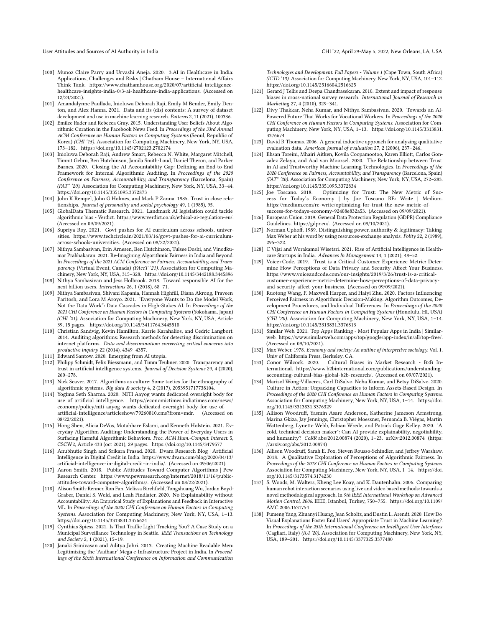- <span id="page-16-2"></span>[100] Munoz Claire Parry and Urvashi Aneja. 2020. 3.AI in Healthcare in India: Applications, Challenges and Risks | Chatham House – International Affairs Think Tank. [https://www.chathamhouse.org/2020/07/artificial-intelligence](https://www.chathamhouse.org/2020/07/artificial-intelligence-healthcare-insights-india-0/3-ai-healthcare-india-applications)[healthcare-insights-india-0/3-ai-healthcare-india-applications.](https://www.chathamhouse.org/2020/07/artificial-intelligence-healthcare-insights-india-0/3-ai-healthcare-india-applications) (Accessed on 12/24/2021).
- <span id="page-16-20"></span>[101] Amandalynne Paullada, Inioluwa Deborah Raji, Emily M Bender, Emily Denton, and Alex Hanna. 2021. Data and its (dis) contents: A survey of dataset development and use in machine learning research. Patterns 2, 11 (2021), 100336.
- <span id="page-16-11"></span>[102] Emilee Rader and Rebecca Gray. 2015. Understanding User Beliefs About Algorithmic Curation in the Facebook News Feed. In Proceedings of the 33rd Annual ACM Conference on Human Factors in Computing Systems (Seoul, Republic of Korea) (CHI '15). Association for Computing Machinery, New York, NY, USA, 173–182.<https://doi.org/10.1145/2702123.2702174>
- <span id="page-16-34"></span>[103] Inioluwa Deborah Raji, Andrew Smart, Rebecca N. White, Margaret Mitchell, Timnit Gebru, Ben Hutchinson, Jamila Smith-Loud, Daniel Theron, and Parker Barnes. 2020. Closing the AI Accountability Gap: Defining an End-to-End Framework for Internal Algorithmic Auditing. In Proceedings of the 2020 Conference on Fairness, Accountability, and Transparency (Barcelona, Spain) (FAT\* '20). Association for Computing Machinery, New York, NY, USA, 33–44. <https://doi.org/10.1145/3351095.3372873>
- <span id="page-16-6"></span>[104] John K Rempel, John G Holmes, and Mark P Zanna. 1985. Trust in close relationships. Journal of personality and social psychology 49, 1 (1985), 95.
- <span id="page-16-13"></span>[105] GlobalData Thematic Research. 2021. Landmark AI legislation could tackle algorithmic bias - Verdict. [https://www.verdict.co.uk/ethical-ai-regulation-eu/.](https://www.verdict.co.uk/ethical-ai-regulation-eu/) (Accessed on 09/09/2021).
- <span id="page-16-32"></span>[106] Supriya Roy. 2021. Govt pushes for AI curriculum across schools, universities. [https://www.techcircle.in/2021/03/16/govt-pushes-for-ai-curriculum](https://www.techcircle.in/2021/03/16/govt-pushes-for-ai-curriculum-across-schools-universities)[across-schools-universities.](https://www.techcircle.in/2021/03/16/govt-pushes-for-ai-curriculum-across-schools-universities) (Accessed on 08/22/2021).
- <span id="page-16-5"></span>[107] Nithya Sambasivan, Erin Arnesen, Ben Hutchinson, Tulsee Doshi, and Vinodkumar Prabhakaran. 2021. Re-Imagining Algorithmic Fairness in India and Beyond. In Proceedings of the 2021 ACM Conference on Fairness, Accountability, and Transparency (Virtual Event, Canada) (FAccT '21). Association for Computing Machinery, New York, NY, USA, 315–328.<https://doi.org/10.1145/3442188.3445896>
- <span id="page-16-22"></span>[108] Nithya Sambasivan and Jess Holbrook. 2018. Toward responsible AI for the next billion users. Interactions 26, 1 (2018), 68–71.
- <span id="page-16-21"></span>[109] Nithya Sambasivan, Shivani Kapania, Hannah Highfill, Diana Akrong, Praveen Paritosh, and Lora M Aroyo. 2021. "Everyone Wants to Do the Model Work, Not the Data Work": Data Cascades in High-Stakes AI. In Proceedings of the 2021 CHI Conference on Human Factors in Computing Systems (Yokohama, Japan) (CHI '21). Association for Computing Machinery, New York, NY, USA, Article 39, 15 pages.<https://doi.org/10.1145/3411764.3445518>
- <span id="page-16-35"></span>[110] Christian Sandvig, Kevin Hamilton, Karrie Karahalios, and Cedric Langbort. 2014. Auditing algorithms: Research methods for detecting discrimination on internet platforms. Data and discrimination: converting critical concerns into productive inquiry 22 (2014), 4349–4357.
- <span id="page-16-7"></span>[111] Edward Santow. 2020. Emerging from AI utopia.
- <span id="page-16-1"></span>[112] Philipp Schmidt, Felix Biessmann, and Timm Teubner. 2020. Transparency and trust in artificial intelligence systems. Journal of Decision Systems 29, 4 (2020), 260–278.
- <span id="page-16-36"></span>[113] Nick Seaver. 2017. Algorithms as culture: Some tactics for the ethnography of algorithmic systems. Big data & society 4, 2 (2017), 2053951717738104.
- <span id="page-16-33"></span>[114] Yogima Seth Sharma. 2020. NITI Aayog wants dedicated oversight body for use of artificial intelligence. [https://economictimes.indiatimes.com/news/](https://economictimes.indiatimes.com/news/economy/policy/niti-aayog-wants-dedicated-oversight-body-for-use-of-artificial-intelligence/articleshow/79260810.cms?from=mdr) [economy/policy/niti-aayog-wants-dedicated-oversight-body-for-use-of](https://economictimes.indiatimes.com/news/economy/policy/niti-aayog-wants-dedicated-oversight-body-for-use-of-artificial-intelligence/articleshow/79260810.cms?from=mdr)[artificial-intelligence/articleshow/79260810.cms?from=mdr.](https://economictimes.indiatimes.com/news/economy/policy/niti-aayog-wants-dedicated-oversight-body-for-use-of-artificial-intelligence/articleshow/79260810.cms?from=mdr) (Accessed on 08/22/2021).
- <span id="page-16-37"></span>[115] Hong Shen, Alicia DeVos, Motahhare Eslami, and Kenneth Holstein. 2021. Everyday Algorithm Auditing: Understanding the Power of Everyday Users in Surfacing Harmful Algorithmic Behaviors. Proc. ACM Hum.-Comput. Interact. 5, CSCW2, Article 433 (oct 2021), 29 pages.<https://doi.org/10.1145/3479577>
- <span id="page-16-4"></span>[116] Anubhutie Singh and Srikara Prasad. 2020. Dvara Research Blog | Artificial Intelligence in Digital Credit in India. [https://www.dvara.com/blog/2020/04/13/](https://www.dvara.com/blog/2020/04/13/artificial-intelligence-in-digital-credit-in-india/) [artificial-intelligence-in-digital-credit-in-india/.](https://www.dvara.com/blog/2020/04/13/artificial-intelligence-in-digital-credit-in-india/) (Accessed on 09/06/2021).
- <span id="page-16-0"></span>[117] Aaron Smith. 2018. Public Attitudes Toward Computer Algorithms | Pew Research Center. [https://www.pewresearch.org/internet/2018/11/16/public](https://www.pewresearch.org/internet/2018/11/16/public-attitudes-toward-computer-algorithms/)[attitudes-toward-computer-algorithms/.](https://www.pewresearch.org/internet/2018/11/16/public-attitudes-toward-computer-algorithms/) (Accessed on 08/22/2021).
- <span id="page-16-29"></span>[118] Alison Smith-Renner, Ron Fan, Melissa Birchfield, Tongshuang Wu, Jordan Boyd-Graber, Daniel S. Weld, and Leah Findlater. 2020. No Explainability without Accountability: An Empirical Study of Explanations and Feedback in Interactive ML. In Proceedings of the 2020 CHI Conference on Human Factors in Computing Systems. Association for Computing Machinery, New York, NY, USA, 1–13. <https://doi.org/10.1145/3313831.3376624>
- <span id="page-16-12"></span>[119] Cynthias Spiess. 2021. Is That Traffic Light Tracking You? A Case Study on a Municipal Surveillance Technology in Seattle. IEEE Transactions on Technology and Society 2, 1 (2021), 15–19.
- <span id="page-16-14"></span>[120] Janaki Srinivasan and Aditya Johri. 2013. Creating Machine Readable Men: Legitimizing the 'Aadhaar' Mega e-Infrastructure Project in India. In Proceedings of the Sixth International Conference on Information and Communication

Technologies and Development: Full Papers - Volume 1 (Cape Town, South Africa) (ICTD '13). Association for Computing Machinery, New York, NY, USA, 101–112. <https://doi.org/10.1145/2516604.2516625>

- <span id="page-16-27"></span>[121] Gerard J Tellis and Deepa Chandrasekaran. 2010. Extent and impact of response biases in cross-national survey research. International Journal of Research in Marketing 27, 4 (2010), 329–341.
- <span id="page-16-10"></span>[122] Divy Thakkar, Neha Kumar, and Nithya Sambasivan. 2020. Towards an AI-Powered Future That Works for Vocational Workers. In Proceedings of the 2020 CHI Conference on Human Factors in Computing Systems. Association for Computing Machinery, New York, NY, USA, 1–13. [https://doi.org/10.1145/3313831.](https://doi.org/10.1145/3313831.3376674) [3376674](https://doi.org/10.1145/3313831.3376674)
- <span id="page-16-17"></span>[123] David R Thomas. 2006. A general inductive approach for analyzing qualitative evaluation data. American journal of evaluation 27, 2 (2006), 237–246.
- <span id="page-16-25"></span>[124] Ehsan Toreini, Mhairi Aitken, Kovila Coopamootoo, Karen Elliott, Carlos Gonzalez Zelaya, and Aad van Moorsel. 2020. The Relationship between Trust in AI and Trustworthy Machine Learning Technologies. In Proceedings of the 2020 Conference on Fairness, Accountability, and Transparency (Barcelona, Spain) (FAT\* '20). Association for Computing Machinery, New York, NY, USA, 272–283. <https://doi.org/10.1145/3351095.3372834><br>[125] Joe Toscano. 2018. Optimizing for
- <span id="page-16-23"></span>Optimizing for Trust: The New Metric of Success for Today's Economy | by Joe Toscano RE: Write | Medium. [https://medium.com/re-write/optimizing-for-trust-the-new-metric-of](https://medium.com/re-write/optimizing-for-trust-the-new-metric-of-success-for-todays-economy-92408e832a53)[success-for-todays-economy-92408e832a53.](https://medium.com/re-write/optimizing-for-trust-the-new-metric-of-success-for-todays-economy-92408e832a53) (Accessed on 09/09/2021).
- <span id="page-16-28"></span>[126] European Union. 2019. General Data Protection Regulation (GDPR) Compliance Guidelines. [https://gdpr.eu/.](https://gdpr.eu/) (Accessed on 09/10/2021).
- <span id="page-16-19"></span>[127] Norman Uphoff. 1989. Distinguishing power, authority & legitimacy: Taking Max Weber at his word by using resources-exchange analysis. Polity 22, 2 (1989), 295–322.
- <span id="page-16-3"></span>[128] C Vijai and Worakamol Wisetsri. 2021. Rise of Artificial Intelligence in Healthcare Startups in India. Advances In Management 14, 1 (2021), 48–52.
- <span id="page-16-24"></span>[129] Voice+Code. 2019. Trust is a Critical Customer Experience Metric: Determine How Perceptions of Data Privacy and Security Affect Your Business. [https://www.voiceandcode.com/our-insights/2019/3/26/trust-is-a-critical](https://www.voiceandcode.com/our-insights/2019/3/26/trust-is-a-critical-customer-experience-metric-determine-how-perceptions-of-data-privacy-and-security-affect-your-business)[customer-experience-metric-determine-how-perceptions-of-data-privacy](https://www.voiceandcode.com/our-insights/2019/3/26/trust-is-a-critical-customer-experience-metric-determine-how-perceptions-of-data-privacy-and-security-affect-your-business)[and-security-affect-your-business.](https://www.voiceandcode.com/our-insights/2019/3/26/trust-is-a-critical-customer-experience-metric-determine-how-perceptions-of-data-privacy-and-security-affect-your-business) (Accessed on 09/09/2021).
- <span id="page-16-9"></span>[130] Ruotong Wang, F. Maxwell Harper, and Haiyi Zhu. 2020. Factors Influencing Perceived Fairness in Algorithmic Decision-Making: Algorithm Outcomes, Development Procedures, and Individual Differences. In Proceedings of the 2020 CHI Conference on Human Factors in Computing Systems (Honolulu, HI, USA) (CHI '20). Association for Computing Machinery, New York, NY, USA, 1–14. <https://doi.org/10.1145/3313831.3376813>
- <span id="page-16-15"></span>[131] Similar Web. 2021. Top Apps Ranking - Most Popular Apps in India | Similarweb. [https://www.similarweb.com/apps/top/google/app-index/in/all/top-free/.](https://www.similarweb.com/apps/top/google/app-index/in/all/top-free/) (Accessed on 09/10/2021).
- <span id="page-16-18"></span>[132] Max Weber. 1978. Economy and society: An outline of interpretive sociology. Vol. 1. Univ of California Press, Berkeley, CA.
- <span id="page-16-26"></span>[133] Conor Wilcock. 2020. Cultural Biases in Market Research - B2B International. [https://www.b2binternational.com/publications/understanding](https://www.b2binternational.com/publications/understanding-accounting-cultural-bias-global-b2b-research/)[accounting-cultural-bias-global-b2b-research/.](https://www.b2binternational.com/publications/understanding-accounting-cultural-bias-global-b2b-research/) (Accessed on 09/07/2021).
- <span id="page-16-31"></span>[134] Marisol Wong-Villacres, Carl DiSalvo, Neha Kumar, and Betsy DiSalvo. 2020. Culture in Action: Unpacking Capacities to Inform Assets-Based Design. In Proceedings of the 2020 CHI Conference on Human Factors in Computing Systems. Association for Computing Machinery, New York, NY, USA, 1–14. [https://doi.](https://doi.org/10.1145/3313831.3376329) [org/10.1145/3313831.3376329](https://doi.org/10.1145/3313831.3376329)
- <span id="page-16-38"></span>[135] Allison Woodruff, Yasmin Asare Anderson, Katherine Jameson Armstrong, Marina Gkiza, Jay Jennings, Christopher Moessner, Fernanda B. Viégas, Martin Wattenberg, Lynette Webb, Fabian Wrede, and Patrick Gage Kelley. 2020. "A cold, technical decision-maker": Can AI provide explainability, negotiability, and humanity? CoRR abs/2012.00874 (2020), 1-23. arXiv[:2012.00874](https://arxiv.org/abs/2012.00874) [\(https:]((https://arxiv.org/abs/2012.00874)) [//arxiv.org/abs/2012.00874\)]((https://arxiv.org/abs/2012.00874))
- <span id="page-16-8"></span>[136] Allison Woodruff, Sarah E. Fox, Steven Rousso-Schindler, and Jeffrey Warshaw. 2018. A Qualitative Exploration of Perceptions of Algorithmic Fairness. In Proceedings of the 2018 CHI Conference on Human Factors in Computing Systems. Association for Computing Machinery, New York, NY, USA, 1–14. [https://doi.](https://doi.org/10.1145/3173574.3174230) [org/10.1145/3173574.3174230](https://doi.org/10.1145/3173574.3174230)
- <span id="page-16-16"></span>[137] S. Woods, M. Walters, Kheng Lee Koay, and K. Dautenhahn. 2006. Comparing human robot interaction scenarios using live and video based methods: towards a novel methodological approach. In 9th IEEE International Workshop on Advanced Motion Control, 2006. IEEE, Istanbul, Turkey, 750–755. [https://doi.org/10.1109/](https://doi.org/10.1109/AMC.2006.1631754) [AMC.2006.1631754](https://doi.org/10.1109/AMC.2006.1631754)
- <span id="page-16-30"></span>[138] Fumeng Yang, Zhuanyi Huang, Jean Scholtz, and Dustin L. Arendt. 2020. How Do Visual Explanations Foster End Users' Appropriate Trust in Machine Learning?. In Proceedings of the 25th International Conference on Intelligent User Interfaces (Cagliari, Italy) (IUI '20). Association for Computing Machinery, New York, NY, USA, 189–201.<https://doi.org/10.1145/3377325.3377480>